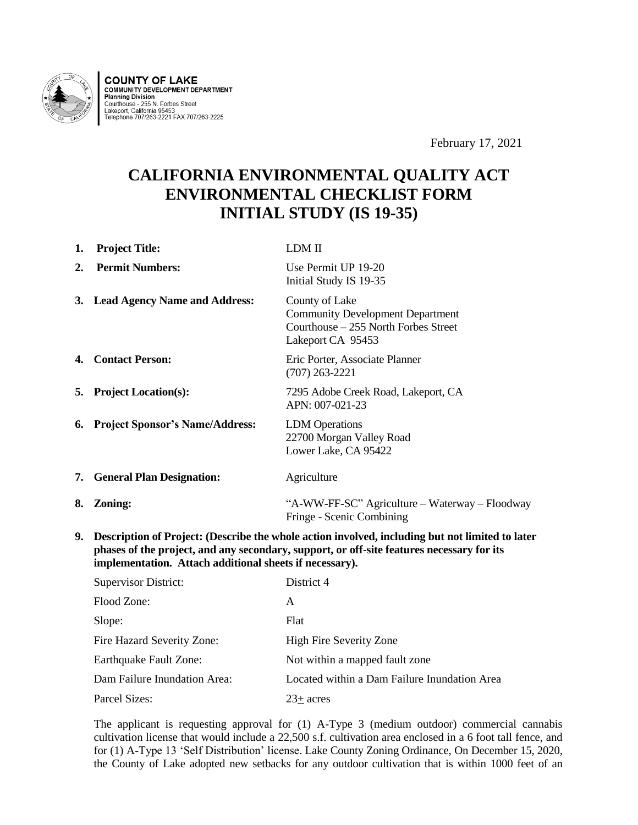

**COUNTY OF LAKE**<br>COMMUNITY DEVELOPMENT DEPARTMENT **Planning Division** Courthouse - 255 N. Forbes Street<br>Lakeport, California 95453<br>Telephone 707/263-2221 FAX 707/263-2225

February 17, 2021

# **CALIFORNIA ENVIRONMENTAL QUALITY ACT ENVIRONMENTAL CHECKLIST FORM INITIAL STUDY (IS 19-35)**

| 1. | <b>Project Title:</b>              | LDM II                                                                                                                  |
|----|------------------------------------|-------------------------------------------------------------------------------------------------------------------------|
| 2. | <b>Permit Numbers:</b>             | Use Permit UP 19-20<br>Initial Study IS 19-35                                                                           |
|    | 3. Lead Agency Name and Address:   | County of Lake<br><b>Community Development Department</b><br>Courthouse $-255$ North Forbes Street<br>Lakeport CA 95453 |
|    | <b>4. Contact Person:</b>          | Eric Porter, Associate Planner<br>$(707)$ 263-2221                                                                      |
|    | <b>5.</b> Project Location(s):     | 7295 Adobe Creek Road, Lakeport, CA<br>APN: 007-021-23                                                                  |
|    | 6. Project Sponsor's Name/Address: | <b>LDM</b> Operations<br>22700 Morgan Valley Road<br>Lower Lake, CA 95422                                               |
|    | 7. General Plan Designation:       | Agriculture                                                                                                             |
| 8. | Zoning:                            | "A-WW-FF-SC" Agriculture – Waterway – Floodway<br>Fringe - Scenic Combining                                             |

**9. Description of Project: (Describe the whole action involved, including but not limited to later phases of the project, and any secondary, support, or off-site features necessary for its implementation. Attach additional sheets if necessary).**

| <b>Supervisor District:</b>  | District 4                                   |
|------------------------------|----------------------------------------------|
| Flood Zone:                  | A                                            |
| Slope:                       | Flat                                         |
| Fire Hazard Severity Zone:   | <b>High Fire Severity Zone</b>               |
| Earthquake Fault Zone:       | Not within a mapped fault zone               |
| Dam Failure Inundation Area: | Located within a Dam Failure Inundation Area |
| Parcel Sizes:                | $23+$ acres                                  |

The applicant is requesting approval for (1) A-Type 3 (medium outdoor) commercial cannabis cultivation license that would include a 22,500 s.f. cultivation area enclosed in a 6 foot tall fence, and for (1) A-Type 13 'Self Distribution' license. Lake County Zoning Ordinance, On December 15, 2020, the County of Lake adopted new setbacks for any outdoor cultivation that is within 1000 feet of an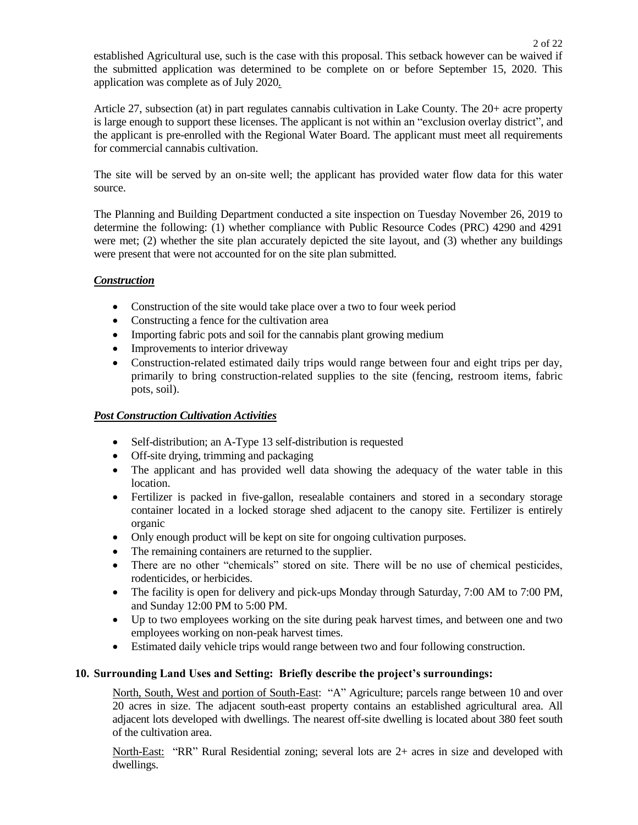established Agricultural use, such is the case with this proposal. This setback however can be waived if the submitted application was determined to be complete on or before September 15, 2020. This application was complete as of July 2020*.*

Article 27, subsection (at) in part regulates cannabis cultivation in Lake County. The 20+ acre property is large enough to support these licenses. The applicant is not within an "exclusion overlay district", and the applicant is pre-enrolled with the Regional Water Board. The applicant must meet all requirements for commercial cannabis cultivation.

The site will be served by an on-site well; the applicant has provided water flow data for this water source.

The Planning and Building Department conducted a site inspection on Tuesday November 26, 2019 to determine the following: (1) whether compliance with Public Resource Codes (PRC) 4290 and 4291 were met; (2) whether the site plan accurately depicted the site layout, and (3) whether any buildings were present that were not accounted for on the site plan submitted.

## *Construction*

- Construction of the site would take place over a two to four week period
- Constructing a fence for the cultivation area
- Importing fabric pots and soil for the cannabis plant growing medium
- Improvements to interior driveway
- Construction-related estimated daily trips would range between four and eight trips per day, primarily to bring construction-related supplies to the site (fencing, restroom items, fabric pots, soil).

## *Post Construction Cultivation Activities*

- Self-distribution; an A-Type 13 self-distribution is requested
- Off-site drying, trimming and packaging
- The applicant and has provided well data showing the adequacy of the water table in this location.
- Fertilizer is packed in five-gallon, resealable containers and stored in a secondary storage container located in a locked storage shed adjacent to the canopy site. Fertilizer is entirely organic
- Only enough product will be kept on site for ongoing cultivation purposes.
- The remaining containers are returned to the supplier.
- There are no other "chemicals" stored on site. There will be no use of chemical pesticides, rodenticides, or herbicides.
- The facility is open for delivery and pick-ups Monday through Saturday, 7:00 AM to 7:00 PM, and Sunday 12:00 PM to 5:00 PM.
- Up to two employees working on the site during peak harvest times, and between one and two employees working on non-peak harvest times.
- Estimated daily vehicle trips would range between two and four following construction.

## **10. Surrounding Land Uses and Setting: Briefly describe the project's surroundings:**

North, South, West and portion of South-East: "A" Agriculture; parcels range between 10 and over 20 acres in size. The adjacent south-east property contains an established agricultural area. All adjacent lots developed with dwellings. The nearest off-site dwelling is located about 380 feet south of the cultivation area.

North-East: "RR" Rural Residential zoning; several lots are 2+ acres in size and developed with dwellings.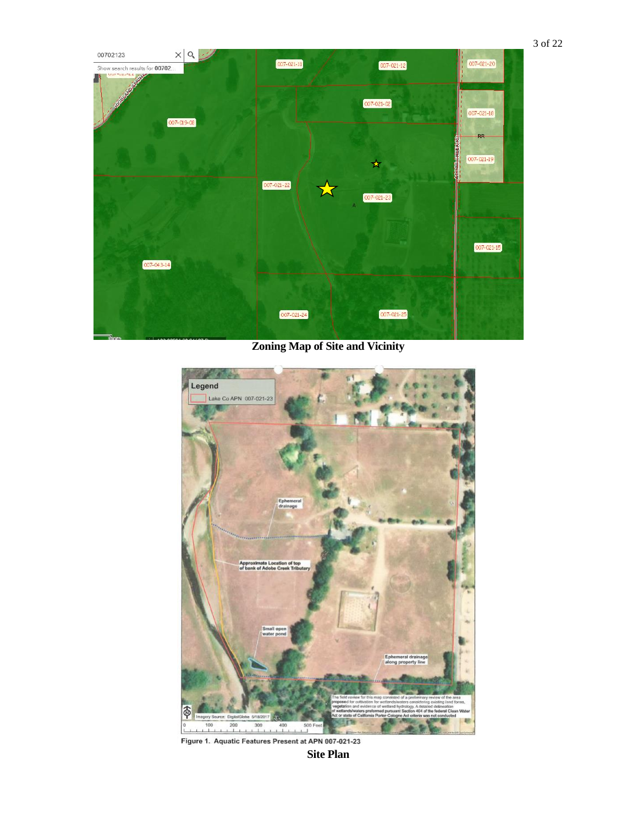

**Zoning Map of Site and Vicinity**



Figure 1. Aquatic Features Present at APN 007-021-23

**Site Plan**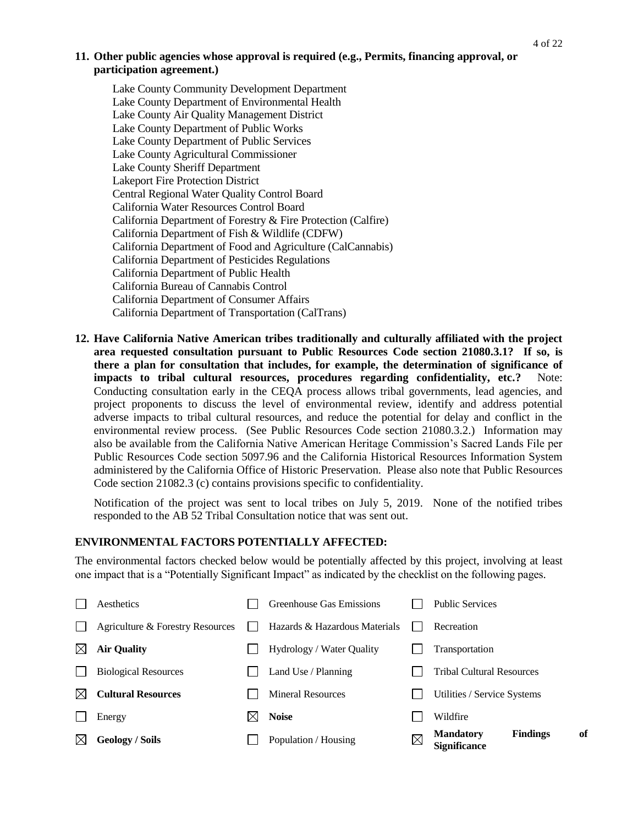### **11. Other public agencies whose approval is required (e.g., Permits, financing approval, or participation agreement.)**

Lake County Community Development Department Lake County Department of Environmental Health Lake County Air Quality Management District Lake County Department of Public Works Lake County Department of Public Services Lake County Agricultural Commissioner Lake County Sheriff Department Lakeport Fire Protection District Central Regional Water Quality Control Board California Water Resources Control Board California Department of Forestry & Fire Protection (Calfire) California Department of Fish & Wildlife (CDFW) California Department of Food and Agriculture (CalCannabis) California Department of Pesticides Regulations California Department of Public Health California Bureau of Cannabis Control California Department of Consumer Affairs California Department of Transportation (CalTrans)

**12. Have California Native American tribes traditionally and culturally affiliated with the project area requested consultation pursuant to Public Resources Code section 21080.3.1? If so, is there a plan for consultation that includes, for example, the determination of significance of impacts to tribal cultural resources, procedures regarding confidentiality, etc.?** Note: Conducting consultation early in the CEQA process allows tribal governments, lead agencies, and project proponents to discuss the level of environmental review, identify and address potential adverse impacts to tribal cultural resources, and reduce the potential for delay and conflict in the environmental review process. (See Public Resources Code section 21080.3.2.) Information may also be available from the California Native American Heritage Commission's Sacred Lands File per Public Resources Code section 5097.96 and the California Historical Resources Information System administered by the California Office of Historic Preservation. Please also note that Public Resources Code section 21082.3 (c) contains provisions specific to confidentiality.

Notification of the project was sent to local tribes on July 5, 2019. None of the notified tribes responded to the AB 52 Tribal Consultation notice that was sent out.

### **ENVIRONMENTAL FACTORS POTENTIALLY AFFECTED:**

The environmental factors checked below would be potentially affected by this project, involving at least one impact that is a "Potentially Significant Impact" as indicated by the checklist on the following pages.

|   | <b>Geology / Soils</b>           |             | Population / Housing          | $\boxtimes$ | of<br><b>Findings</b><br><b>Mandatory</b><br><b>Significance</b> |
|---|----------------------------------|-------------|-------------------------------|-------------|------------------------------------------------------------------|
|   | Energy                           | $\boxtimes$ | <b>Noise</b>                  |             | Wildfire                                                         |
|   | <b>Cultural Resources</b>        |             | <b>Mineral Resources</b>      |             | Utilities / Service Systems                                      |
|   | <b>Biological Resources</b>      |             | Land Use / Planning           |             | <b>Tribal Cultural Resources</b>                                 |
| ⊠ | <b>Air Quality</b>               |             | Hydrology / Water Quality     |             | Transportation                                                   |
|   | Agriculture & Forestry Resources |             | Hazards & Hazardous Materials |             | Recreation                                                       |
|   | Aesthetics                       |             | Greenhouse Gas Emissions      |             | <b>Public Services</b>                                           |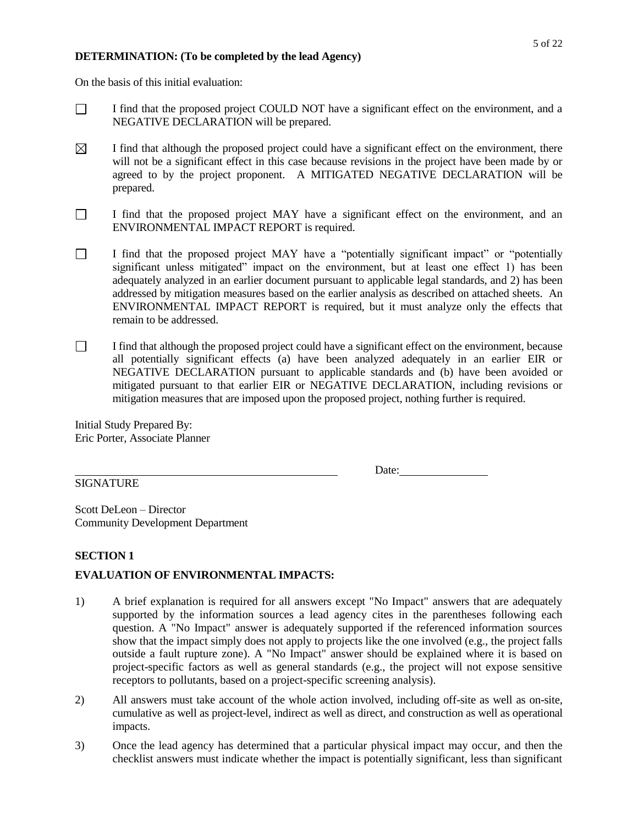#### **DETERMINATION: (To be completed by the lead Agency)**

On the basis of this initial evaluation:

- $\Box$ I find that the proposed project COULD NOT have a significant effect on the environment, and a NEGATIVE DECLARATION will be prepared.
- $\boxtimes$ I find that although the proposed project could have a significant effect on the environment, there will not be a significant effect in this case because revisions in the project have been made by or agreed to by the project proponent. A MITIGATED NEGATIVE DECLARATION will be prepared.
- $\Box$ I find that the proposed project MAY have a significant effect on the environment, and an ENVIRONMENTAL IMPACT REPORT is required.
- $\Box$ I find that the proposed project MAY have a "potentially significant impact" or "potentially significant unless mitigated" impact on the environment, but at least one effect 1) has been adequately analyzed in an earlier document pursuant to applicable legal standards, and 2) has been addressed by mitigation measures based on the earlier analysis as described on attached sheets. An ENVIRONMENTAL IMPACT REPORT is required, but it must analyze only the effects that remain to be addressed.
- $\Box$ I find that although the proposed project could have a significant effect on the environment, because all potentially significant effects (a) have been analyzed adequately in an earlier EIR or NEGATIVE DECLARATION pursuant to applicable standards and (b) have been avoided or mitigated pursuant to that earlier EIR or NEGATIVE DECLARATION, including revisions or mitigation measures that are imposed upon the proposed project, nothing further is required.

Initial Study Prepared By: Eric Porter, Associate Planner

Date:

Scott DeLeon – Director Community Development Department

## **SECTION 1**

SIGNATURE

## **EVALUATION OF ENVIRONMENTAL IMPACTS:**

- 1) A brief explanation is required for all answers except "No Impact" answers that are adequately supported by the information sources a lead agency cites in the parentheses following each question. A "No Impact" answer is adequately supported if the referenced information sources show that the impact simply does not apply to projects like the one involved (e.g., the project falls outside a fault rupture zone). A "No Impact" answer should be explained where it is based on project-specific factors as well as general standards (e.g., the project will not expose sensitive receptors to pollutants, based on a project-specific screening analysis).
- 2) All answers must take account of the whole action involved, including off-site as well as on-site, cumulative as well as project-level, indirect as well as direct, and construction as well as operational impacts.
- 3) Once the lead agency has determined that a particular physical impact may occur, and then the checklist answers must indicate whether the impact is potentially significant, less than significant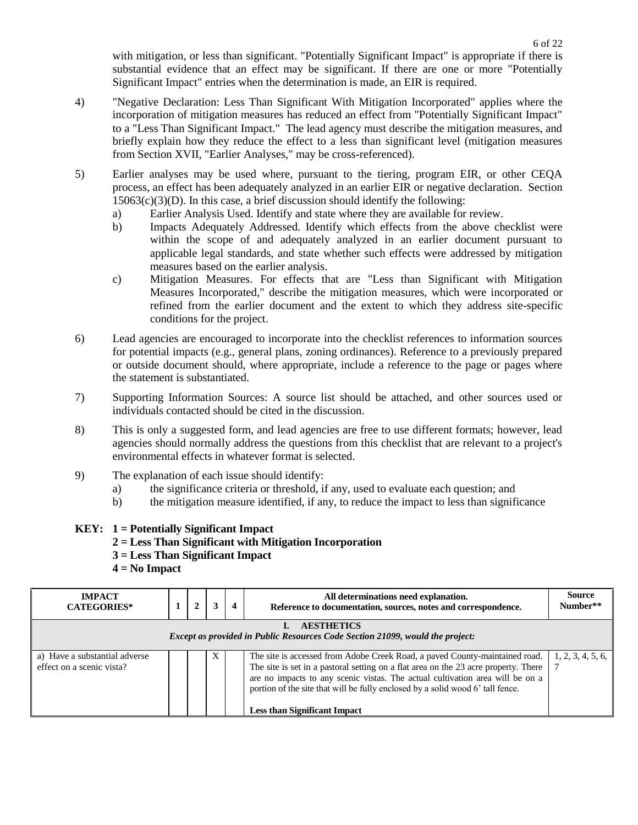with mitigation, or less than significant. "Potentially Significant Impact" is appropriate if there is substantial evidence that an effect may be significant. If there are one or more "Potentially Significant Impact" entries when the determination is made, an EIR is required.

- 4) "Negative Declaration: Less Than Significant With Mitigation Incorporated" applies where the incorporation of mitigation measures has reduced an effect from "Potentially Significant Impact" to a "Less Than Significant Impact." The lead agency must describe the mitigation measures, and briefly explain how they reduce the effect to a less than significant level (mitigation measures from Section XVII, "Earlier Analyses," may be cross-referenced).
- 5) Earlier analyses may be used where, pursuant to the tiering, program EIR, or other CEQA process, an effect has been adequately analyzed in an earlier EIR or negative declaration. Section  $15063(c)(3)(D)$ . In this case, a brief discussion should identify the following:
	- a) Earlier Analysis Used. Identify and state where they are available for review.
	- b) Impacts Adequately Addressed. Identify which effects from the above checklist were within the scope of and adequately analyzed in an earlier document pursuant to applicable legal standards, and state whether such effects were addressed by mitigation measures based on the earlier analysis.
	- c) Mitigation Measures. For effects that are "Less than Significant with Mitigation Measures Incorporated," describe the mitigation measures, which were incorporated or refined from the earlier document and the extent to which they address site-specific conditions for the project.
- 6) Lead agencies are encouraged to incorporate into the checklist references to information sources for potential impacts (e.g., general plans, zoning ordinances). Reference to a previously prepared or outside document should, where appropriate, include a reference to the page or pages where the statement is substantiated.
- 7) Supporting Information Sources: A source list should be attached, and other sources used or individuals contacted should be cited in the discussion.
- 8) This is only a suggested form, and lead agencies are free to use different formats; however, lead agencies should normally address the questions from this checklist that are relevant to a project's environmental effects in whatever format is selected.
- 9) The explanation of each issue should identify:
	- a) the significance criteria or threshold, if any, used to evaluate each question; and
	- b) the mitigation measure identified, if any, to reduce the impact to less than significance

## **KEY: 1 = Potentially Significant Impact**

- **2 = Less Than Significant with Mitigation Incorporation**
- **3 = Less Than Significant Impact**
- **4 = No Impact**

| <b>IMPACT</b><br><b>CATEGORIES*</b>                                                  |  | 2 |   | 4 | All determinations need explanation.<br>Reference to documentation, sources, notes and correspondence.                                                                                                                                                                                                                                                                       | <b>Source</b><br>Number** |  |  |  |  |
|--------------------------------------------------------------------------------------|--|---|---|---|------------------------------------------------------------------------------------------------------------------------------------------------------------------------------------------------------------------------------------------------------------------------------------------------------------------------------------------------------------------------------|---------------------------|--|--|--|--|
| <b>AESTHETICS</b>                                                                    |  |   |   |   |                                                                                                                                                                                                                                                                                                                                                                              |                           |  |  |  |  |
| <b>Except as provided in Public Resources Code Section 21099, would the project:</b> |  |   |   |   |                                                                                                                                                                                                                                                                                                                                                                              |                           |  |  |  |  |
| a) Have a substantial adverse<br>effect on a scenic vista?                           |  |   | X |   | The site is accessed from Adobe Creek Road, a paved County-maintained road.<br>The site is set in a pastoral setting on a flat area on the 23 acre property. There<br>are no impacts to any scenic vistas. The actual cultivation area will be on a<br>portion of the site that will be fully enclosed by a solid wood 6' tall fence.<br><b>Less than Significant Impact</b> | 1, 2, 3, 4, 5, 6,         |  |  |  |  |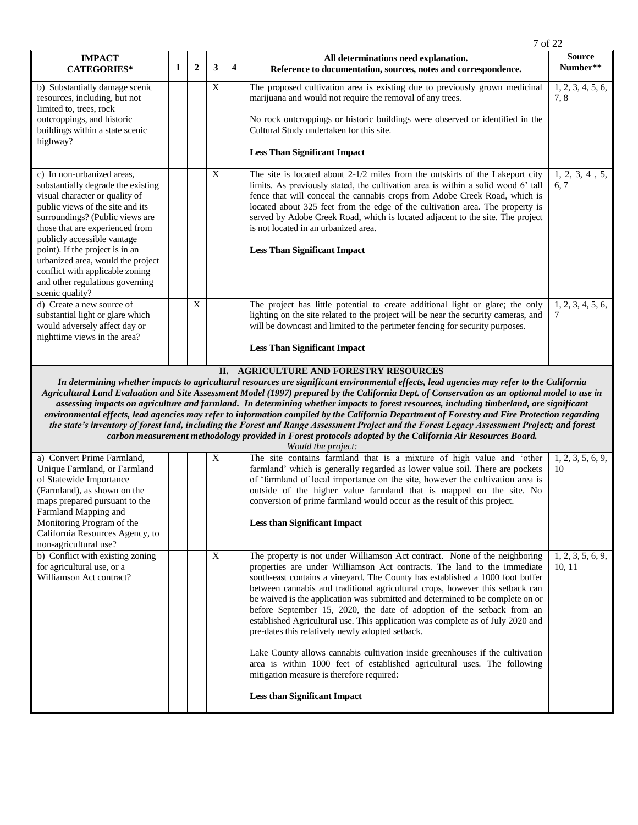| <b>IMPACT</b>                                                                                                                                                                                                                                                                                                                                                                                                |   |             |   |   | All determinations need explanation.                                                                                                                                                                                                                                                                                                                                                                                                                                                                 | <b>Source</b>            |
|--------------------------------------------------------------------------------------------------------------------------------------------------------------------------------------------------------------------------------------------------------------------------------------------------------------------------------------------------------------------------------------------------------------|---|-------------|---|---|------------------------------------------------------------------------------------------------------------------------------------------------------------------------------------------------------------------------------------------------------------------------------------------------------------------------------------------------------------------------------------------------------------------------------------------------------------------------------------------------------|--------------------------|
| <b>CATEGORIES*</b>                                                                                                                                                                                                                                                                                                                                                                                           | 1 | $\mathbf 2$ | 3 | 4 | Reference to documentation, sources, notes and correspondence.                                                                                                                                                                                                                                                                                                                                                                                                                                       | Number**                 |
| b) Substantially damage scenic<br>resources, including, but not<br>limited to, trees, rock<br>outcroppings, and historic<br>buildings within a state scenic<br>highway?                                                                                                                                                                                                                                      |   |             | X |   | The proposed cultivation area is existing due to previously grown medicinal<br>marijuana and would not require the removal of any trees.<br>No rock outcroppings or historic buildings were observed or identified in the<br>Cultural Study undertaken for this site.<br><b>Less Than Significant Impact</b>                                                                                                                                                                                         | 1, 2, 3, 4, 5, 6,<br>7.8 |
| c) In non-urbanized areas,<br>substantially degrade the existing<br>visual character or quality of<br>public views of the site and its<br>surroundings? (Public views are<br>those that are experienced from<br>publicly accessible vantage<br>point). If the project is in an<br>urbanized area, would the project<br>conflict with applicable zoning<br>and other regulations governing<br>scenic quality? |   |             | X |   | The site is located about $2-1/2$ miles from the outskirts of the Lakeport city<br>limits. As previously stated, the cultivation area is within a solid wood 6' tall<br>fence that will conceal the cannabis crops from Adobe Creek Road, which is<br>located about 325 feet from the edge of the cultivation area. The property is<br>served by Adobe Creek Road, which is located adjacent to the site. The project<br>is not located in an urbanized area.<br><b>Less Than Significant Impact</b> | 1, 2, 3, 4, 5,<br>6.7    |
| d) Create a new source of<br>substantial light or glare which<br>would adversely affect day or<br>nighttime views in the area?                                                                                                                                                                                                                                                                               |   | X           |   |   | The project has little potential to create additional light or glare; the only<br>lighting on the site related to the project will be near the security cameras, and<br>will be downcast and limited to the perimeter fencing for security purposes.<br><b>Less Than Significant Impact</b>                                                                                                                                                                                                          | 1, 2, 3, 4, 5, 6,<br>7   |

7 of 22

#### **II. AGRICULTURE AND FORESTRY RESOURCES**

*In determining whether impacts to agricultural resources are significant environmental effects, lead agencies may refer to the California Agricultural Land Evaluation and Site Assessment Model (1997) prepared by the California Dept. of Conservation as an optional model to use in assessing impacts on agriculture and farmland.**In determining whether impacts to forest resources, including timberland, are significant environmental effects, lead agencies may refer to information compiled by the California Department of Forestry and Fire Protection regarding the state's inventory of forest land, including the Forest and Range Assessment Project and the Forest Legacy Assessment Project; and forest carbon measurement methodology provided in Forest protocols adopted by the California Air Resources Board.*

| Would the project:                                                                                                                                                                                                                                                     |  |  |   |  |                                                                                                                                                                                                                                                                                                                                                                                                                                                                                                                                                                                                                                                                                                                                                                                                                                                                              |                             |  |  |  |
|------------------------------------------------------------------------------------------------------------------------------------------------------------------------------------------------------------------------------------------------------------------------|--|--|---|--|------------------------------------------------------------------------------------------------------------------------------------------------------------------------------------------------------------------------------------------------------------------------------------------------------------------------------------------------------------------------------------------------------------------------------------------------------------------------------------------------------------------------------------------------------------------------------------------------------------------------------------------------------------------------------------------------------------------------------------------------------------------------------------------------------------------------------------------------------------------------------|-----------------------------|--|--|--|
| a) Convert Prime Farmland,<br>Unique Farmland, or Farmland<br>of Statewide Importance<br>(Farmland), as shown on the<br>maps prepared pursuant to the<br>Farmland Mapping and<br>Monitoring Program of the<br>California Resources Agency, to<br>non-agricultural use? |  |  | X |  | The site contains farmland that is a mixture of high value and 'other<br>farmland' which is generally regarded as lower value soil. There are pockets<br>of 'farmland of local importance on the site, however the cultivation area is<br>outside of the higher value farmland that is mapped on the site. No<br>conversion of prime farmland would occur as the result of this project.<br><b>Less than Significant Impact</b>                                                                                                                                                                                                                                                                                                                                                                                                                                              | 1, 2, 3, 5, 6, 9,<br>10     |  |  |  |
| b) Conflict with existing zoning<br>for agricultural use, or a<br>Williamson Act contract?                                                                                                                                                                             |  |  | X |  | The property is not under Williamson Act contract. None of the neighboring<br>properties are under Williamson Act contracts. The land to the immediate<br>south-east contains a vineyard. The County has established a 1000 foot buffer<br>between cannabis and traditional agricultural crops, however this setback can<br>be waived is the application was submitted and determined to be complete on or<br>before September 15, 2020, the date of adoption of the setback from an<br>established Agricultural use. This application was complete as of July 2020 and<br>pre-dates this relatively newly adopted setback.<br>Lake County allows cannabis cultivation inside greenhouses if the cultivation<br>area is within 1000 feet of established agricultural uses. The following<br>mitigation measure is therefore required:<br><b>Less than Significant Impact</b> | 1, 2, 3, 5, 6, 9,<br>10, 11 |  |  |  |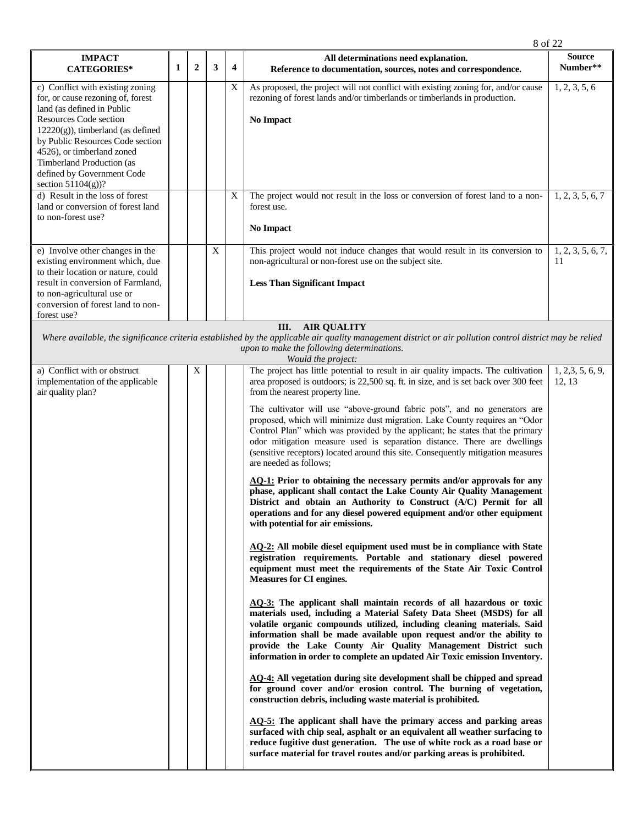|                                                                                                                                                                                                                                                                                                                                  |   |                |   |                         | 8 of 22                                                                                                                                                                                                                                                                                                                                                                                                                                                                                                                                                                                                                                                                                                                                                                                                                                                                                                                                                                                                                                                                                                                                                                                                                                                                                                                                                                                                                                                                                                                                                                                                                                                                                                                                                                                                                                                                                                                                                                                                                                                                                                                                                                                                                                 |                             |
|----------------------------------------------------------------------------------------------------------------------------------------------------------------------------------------------------------------------------------------------------------------------------------------------------------------------------------|---|----------------|---|-------------------------|-----------------------------------------------------------------------------------------------------------------------------------------------------------------------------------------------------------------------------------------------------------------------------------------------------------------------------------------------------------------------------------------------------------------------------------------------------------------------------------------------------------------------------------------------------------------------------------------------------------------------------------------------------------------------------------------------------------------------------------------------------------------------------------------------------------------------------------------------------------------------------------------------------------------------------------------------------------------------------------------------------------------------------------------------------------------------------------------------------------------------------------------------------------------------------------------------------------------------------------------------------------------------------------------------------------------------------------------------------------------------------------------------------------------------------------------------------------------------------------------------------------------------------------------------------------------------------------------------------------------------------------------------------------------------------------------------------------------------------------------------------------------------------------------------------------------------------------------------------------------------------------------------------------------------------------------------------------------------------------------------------------------------------------------------------------------------------------------------------------------------------------------------------------------------------------------------------------------------------------------|-----------------------------|
| <b>IMPACT</b><br><b>CATEGORIES*</b>                                                                                                                                                                                                                                                                                              | 1 | $\overline{2}$ | 3 | $\overline{\mathbf{4}}$ | All determinations need explanation.<br>Reference to documentation, sources, notes and correspondence.                                                                                                                                                                                                                                                                                                                                                                                                                                                                                                                                                                                                                                                                                                                                                                                                                                                                                                                                                                                                                                                                                                                                                                                                                                                                                                                                                                                                                                                                                                                                                                                                                                                                                                                                                                                                                                                                                                                                                                                                                                                                                                                                  | <b>Source</b><br>Number**   |
| c) Conflict with existing zoning<br>for, or cause rezoning of, forest<br>land (as defined in Public<br><b>Resources Code section</b><br>$12220(g)$ , timberland (as defined<br>by Public Resources Code section<br>4526), or timberland zoned<br>Timberland Production (as<br>defined by Government Code<br>section $51104(g)$ ? |   |                |   | X                       | As proposed, the project will not conflict with existing zoning for, and/or cause<br>rezoning of forest lands and/or timberlands or timberlands in production.<br><b>No Impact</b>                                                                                                                                                                                                                                                                                                                                                                                                                                                                                                                                                                                                                                                                                                                                                                                                                                                                                                                                                                                                                                                                                                                                                                                                                                                                                                                                                                                                                                                                                                                                                                                                                                                                                                                                                                                                                                                                                                                                                                                                                                                      | 1, 2, 3, 5, 6               |
| d) Result in the loss of forest<br>land or conversion of forest land<br>to non-forest use?                                                                                                                                                                                                                                       |   |                |   | X                       | The project would not result in the loss or conversion of forest land to a non-<br>forest use.<br><b>No Impact</b>                                                                                                                                                                                                                                                                                                                                                                                                                                                                                                                                                                                                                                                                                                                                                                                                                                                                                                                                                                                                                                                                                                                                                                                                                                                                                                                                                                                                                                                                                                                                                                                                                                                                                                                                                                                                                                                                                                                                                                                                                                                                                                                      | 1, 2, 3, 5, 6, 7            |
| e) Involve other changes in the<br>existing environment which, due<br>to their location or nature, could<br>result in conversion of Farmland,<br>to non-agricultural use or<br>conversion of forest land to non-<br>forest use?                                                                                                  |   |                | X |                         | This project would not induce changes that would result in its conversion to<br>non-agricultural or non-forest use on the subject site.<br><b>Less Than Significant Impact</b>                                                                                                                                                                                                                                                                                                                                                                                                                                                                                                                                                                                                                                                                                                                                                                                                                                                                                                                                                                                                                                                                                                                                                                                                                                                                                                                                                                                                                                                                                                                                                                                                                                                                                                                                                                                                                                                                                                                                                                                                                                                          | 1, 2, 3, 5, 6, 7,<br>11     |
|                                                                                                                                                                                                                                                                                                                                  |   |                |   |                         | III.<br><b>AIR QUALITY</b><br>Where available, the significance criteria established by the applicable air quality management district or air pollution control district may be relied<br>upon to make the following determinations.<br>Would the project:                                                                                                                                                                                                                                                                                                                                                                                                                                                                                                                                                                                                                                                                                                                                                                                                                                                                                                                                                                                                                                                                                                                                                                                                                                                                                                                                                                                                                                                                                                                                                                                                                                                                                                                                                                                                                                                                                                                                                                              |                             |
| a) Conflict with or obstruct<br>implementation of the applicable<br>air quality plan?                                                                                                                                                                                                                                            |   | $\mathbf X$    |   |                         | The project has little potential to result in air quality impacts. The cultivation<br>area proposed is outdoors; is 22,500 sq. ft. in size, and is set back over 300 feet<br>from the nearest property line.<br>The cultivator will use "above-ground fabric pots", and no generators are<br>proposed, which will minimize dust migration. Lake County requires an "Odor<br>Control Plan" which was provided by the applicant; he states that the primary<br>odor mitigation measure used is separation distance. There are dwellings<br>(sensitive receptors) located around this site. Consequently mitigation measures<br>are needed as follows:<br>AQ-1: Prior to obtaining the necessary permits and/or approvals for any<br>phase, applicant shall contact the Lake County Air Quality Management<br>District and obtain an Authority to Construct (A/C) Permit for all<br>operations and for any diesel powered equipment and/or other equipment<br>with potential for air emissions.<br>AQ-2: All mobile diesel equipment used must be in compliance with State<br>registration requirements. Portable and stationary diesel powered<br>equipment must meet the requirements of the State Air Toxic Control<br><b>Measures for CI engines.</b><br>AQ-3: The applicant shall maintain records of all hazardous or toxic<br>materials used, including a Material Safety Data Sheet (MSDS) for all<br>volatile organic compounds utilized, including cleaning materials. Said<br>information shall be made available upon request and/or the ability to<br>provide the Lake County Air Quality Management District such<br>information in order to complete an updated Air Toxic emission Inventory.<br>AO-4: All vegetation during site development shall be chipped and spread<br>for ground cover and/or erosion control. The burning of vegetation,<br>construction debris, including waste material is prohibited.<br>AQ-5: The applicant shall have the primary access and parking areas<br>surfaced with chip seal, asphalt or an equivalent all weather surfacing to<br>reduce fugitive dust generation. The use of white rock as a road base or<br>surface material for travel routes and/or parking areas is prohibited. | 1, 2, 3, 5, 6, 9,<br>12, 13 |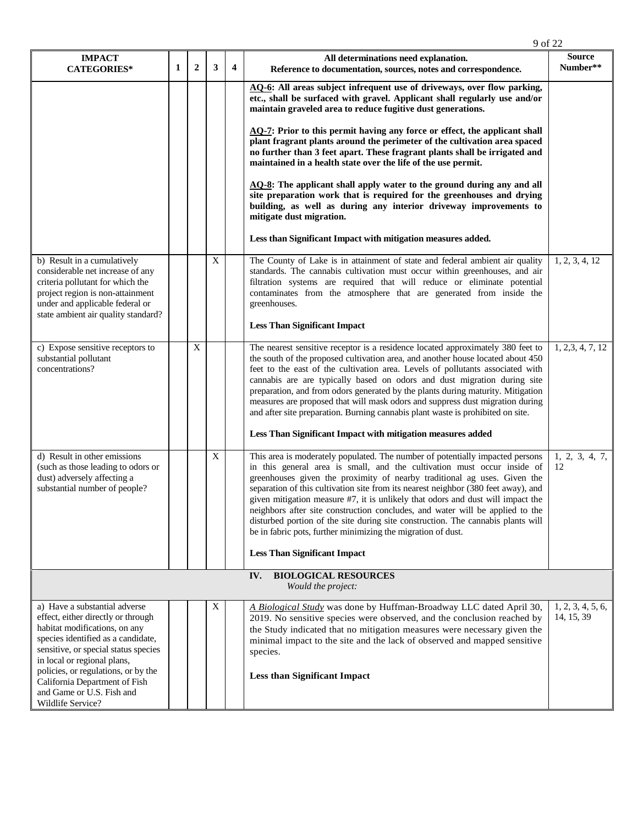| 1 | $\overline{2}$ | 3 | $\overline{\mathbf{4}}$ | All determinations need explanation.                                                                                                                                                                                                                                                                                                                                                                                                                                                                                                                                                                                                               | <b>Source</b>                                                             |
|---|----------------|---|-------------------------|----------------------------------------------------------------------------------------------------------------------------------------------------------------------------------------------------------------------------------------------------------------------------------------------------------------------------------------------------------------------------------------------------------------------------------------------------------------------------------------------------------------------------------------------------------------------------------------------------------------------------------------------------|---------------------------------------------------------------------------|
|   |                |   |                         | Reference to documentation, sources, notes and correspondence.                                                                                                                                                                                                                                                                                                                                                                                                                                                                                                                                                                                     | Number**                                                                  |
|   |                |   |                         | AQ-6: All areas subject infrequent use of driveways, over flow parking,<br>etc., shall be surfaced with gravel. Applicant shall regularly use and/or<br>maintain graveled area to reduce fugitive dust generations.                                                                                                                                                                                                                                                                                                                                                                                                                                |                                                                           |
|   |                |   |                         | $\overline{AQ}$ . Prior to this permit having any force or effect, the applicant shall<br>plant fragrant plants around the perimeter of the cultivation area spaced<br>no further than 3 feet apart. These fragrant plants shall be irrigated and<br>maintained in a health state over the life of the use permit.                                                                                                                                                                                                                                                                                                                                 |                                                                           |
|   |                |   |                         | $\overline{AQ-8}$ : The applicant shall apply water to the ground during any and all<br>site preparation work that is required for the greenhouses and drying<br>building, as well as during any interior driveway improvements to<br>mitigate dust migration.                                                                                                                                                                                                                                                                                                                                                                                     |                                                                           |
|   |                |   |                         | Less than Significant Impact with mitigation measures added.                                                                                                                                                                                                                                                                                                                                                                                                                                                                                                                                                                                       |                                                                           |
|   |                | X |                         | The County of Lake is in attainment of state and federal ambient air quality<br>standards. The cannabis cultivation must occur within greenhouses, and air<br>filtration systems are required that will reduce or eliminate potential<br>contaminates from the atmosphere that are generated from inside the<br>greenhouses.                                                                                                                                                                                                                                                                                                                       | 1, 2, 3, 4, 12                                                            |
|   |                |   |                         | <b>Less Than Significant Impact</b>                                                                                                                                                                                                                                                                                                                                                                                                                                                                                                                                                                                                                |                                                                           |
|   | X              |   |                         | The nearest sensitive receptor is a residence located approximately 380 feet to<br>the south of the proposed cultivation area, and another house located about 450<br>feet to the east of the cultivation area. Levels of pollutants associated with<br>cannabis are are typically based on odors and dust migration during site<br>preparation, and from odors generated by the plants during maturity. Mitigation<br>measures are proposed that will mask odors and suppress dust migration during<br>and after site preparation. Burning cannabis plant waste is prohibited on site.                                                            | 1, 2, 3, 4, 7, 12                                                         |
|   |                |   |                         | Less Than Significant Impact with mitigation measures added                                                                                                                                                                                                                                                                                                                                                                                                                                                                                                                                                                                        |                                                                           |
|   |                | X |                         | This area is moderately populated. The number of potentially impacted persons<br>in this general area is small, and the cultivation must occur inside of<br>greenhouses given the proximity of nearby traditional ag uses. Given the<br>separation of this cultivation site from its nearest neighbor (380 feet away), and<br>given mitigation measure #7, it is unlikely that odors and dust will impact the<br>neighbors after site construction concludes, and water will be applied to the<br>disturbed portion of the site during site construction. The cannabis plants will<br>be in fabric pots, further minimizing the migration of dust. | 1, 2, 3, 4, 7,<br>12                                                      |
|   |                |   |                         |                                                                                                                                                                                                                                                                                                                                                                                                                                                                                                                                                                                                                                                    |                                                                           |
|   |                |   |                         | Would the project:                                                                                                                                                                                                                                                                                                                                                                                                                                                                                                                                                                                                                                 |                                                                           |
|   |                | X |                         | A Biological Study was done by Huffman-Broadway LLC dated April 30,<br>2019. No sensitive species were observed, and the conclusion reached by<br>the Study indicated that no mitigation measures were necessary given the<br>minimal impact to the site and the lack of observed and mapped sensitive<br>species.<br><b>Less than Significant Impact</b>                                                                                                                                                                                                                                                                                          | 1, 2, 3, 4, 5, 6,<br>14, 15, 39                                           |
|   |                |   |                         |                                                                                                                                                                                                                                                                                                                                                                                                                                                                                                                                                                                                                                                    | <b>Less Than Significant Impact</b><br><b>BIOLOGICAL RESOURCES</b><br>IV. |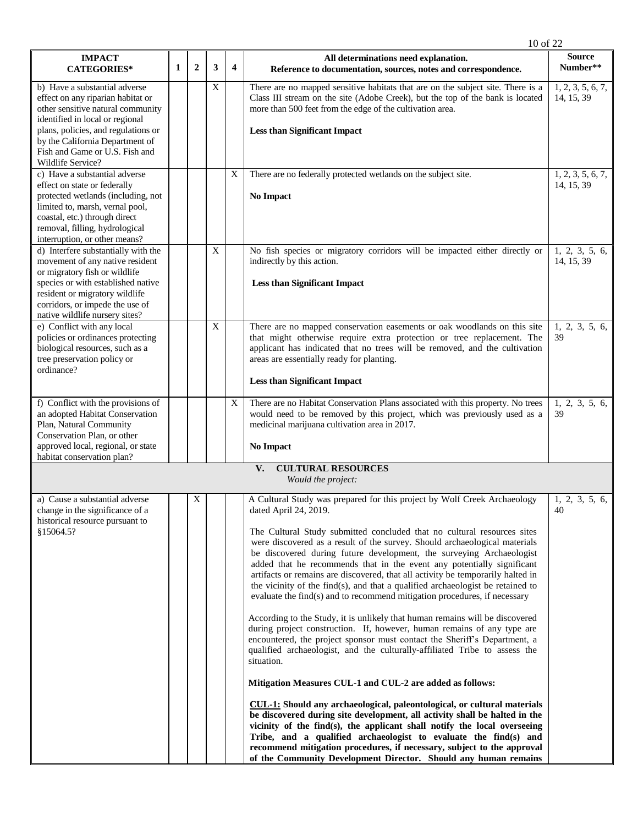|                                                                                                                                                                                                                                                                             |   |                |   |                | 10 of 22                                                                                                                                                                                                                                                                                                                                                                                                                                                                                                                                                                                                                                                                                                                                                                                                                                                                                                                                                                                                                                                                                                                                                                                                                                                                                                                                                                                                                                                                                                               |                                 |
|-----------------------------------------------------------------------------------------------------------------------------------------------------------------------------------------------------------------------------------------------------------------------------|---|----------------|---|----------------|------------------------------------------------------------------------------------------------------------------------------------------------------------------------------------------------------------------------------------------------------------------------------------------------------------------------------------------------------------------------------------------------------------------------------------------------------------------------------------------------------------------------------------------------------------------------------------------------------------------------------------------------------------------------------------------------------------------------------------------------------------------------------------------------------------------------------------------------------------------------------------------------------------------------------------------------------------------------------------------------------------------------------------------------------------------------------------------------------------------------------------------------------------------------------------------------------------------------------------------------------------------------------------------------------------------------------------------------------------------------------------------------------------------------------------------------------------------------------------------------------------------------|---------------------------------|
| <b>IMPACT</b><br><b>CATEGORIES*</b>                                                                                                                                                                                                                                         | 1 | $\overline{2}$ | 3 | $\overline{4}$ | All determinations need explanation.<br>Reference to documentation, sources, notes and correspondence.                                                                                                                                                                                                                                                                                                                                                                                                                                                                                                                                                                                                                                                                                                                                                                                                                                                                                                                                                                                                                                                                                                                                                                                                                                                                                                                                                                                                                 | <b>Source</b><br>Number**       |
| b) Have a substantial adverse<br>effect on any riparian habitat or<br>other sensitive natural community<br>identified in local or regional<br>plans, policies, and regulations or<br>by the California Department of<br>Fish and Game or U.S. Fish and<br>Wildlife Service? |   |                | X |                | There are no mapped sensitive habitats that are on the subject site. There is a<br>Class III stream on the site (Adobe Creek), but the top of the bank is located<br>more than 500 feet from the edge of the cultivation area.<br><b>Less than Significant Impact</b>                                                                                                                                                                                                                                                                                                                                                                                                                                                                                                                                                                                                                                                                                                                                                                                                                                                                                                                                                                                                                                                                                                                                                                                                                                                  | 1, 2, 3, 5, 6, 7,<br>14, 15, 39 |
| c) Have a substantial adverse<br>effect on state or federally<br>protected wetlands (including, not<br>limited to, marsh, vernal pool,<br>coastal, etc.) through direct<br>removal, filling, hydrological<br>interruption, or other means?                                  |   |                |   | $\mathbf X$    | There are no federally protected wetlands on the subject site.<br>No Impact                                                                                                                                                                                                                                                                                                                                                                                                                                                                                                                                                                                                                                                                                                                                                                                                                                                                                                                                                                                                                                                                                                                                                                                                                                                                                                                                                                                                                                            | 1, 2, 3, 5, 6, 7,<br>14, 15, 39 |
| d) Interfere substantially with the<br>movement of any native resident<br>or migratory fish or wildlife<br>species or with established native<br>resident or migratory wildlife<br>corridors, or impede the use of<br>native wildlife nursery sites?                        |   |                | X |                | No fish species or migratory corridors will be impacted either directly or<br>indirectly by this action.<br><b>Less than Significant Impact</b>                                                                                                                                                                                                                                                                                                                                                                                                                                                                                                                                                                                                                                                                                                                                                                                                                                                                                                                                                                                                                                                                                                                                                                                                                                                                                                                                                                        | 1, 2, 3, 5, 6,<br>14, 15, 39    |
| e) Conflict with any local<br>policies or ordinances protecting<br>biological resources, such as a<br>tree preservation policy or<br>ordinance?                                                                                                                             |   |                | X |                | There are no mapped conservation easements or oak woodlands on this site<br>that might otherwise require extra protection or tree replacement. The<br>applicant has indicated that no trees will be removed, and the cultivation<br>areas are essentially ready for planting.<br><b>Less than Significant Impact</b>                                                                                                                                                                                                                                                                                                                                                                                                                                                                                                                                                                                                                                                                                                                                                                                                                                                                                                                                                                                                                                                                                                                                                                                                   | 1, 2, 3, 5, 6,<br>39            |
| f) Conflict with the provisions of<br>an adopted Habitat Conservation<br>Plan, Natural Community<br>Conservation Plan, or other<br>approved local, regional, or state<br>habitat conservation plan?                                                                         |   |                |   | $\mathbf X$    | There are no Habitat Conservation Plans associated with this property. No trees<br>would need to be removed by this project, which was previously used as a<br>medicinal marijuana cultivation area in 2017.<br>No Impact                                                                                                                                                                                                                                                                                                                                                                                                                                                                                                                                                                                                                                                                                                                                                                                                                                                                                                                                                                                                                                                                                                                                                                                                                                                                                              | 1, 2, 3, 5, 6,<br>39            |
|                                                                                                                                                                                                                                                                             |   |                |   |                | V.<br><b>CULTURAL RESOURCES</b><br>Would the project:                                                                                                                                                                                                                                                                                                                                                                                                                                                                                                                                                                                                                                                                                                                                                                                                                                                                                                                                                                                                                                                                                                                                                                                                                                                                                                                                                                                                                                                                  |                                 |
| a) Cause a substantial adverse<br>change in the significance of a<br>historical resource pursuant to<br>§15064.5?                                                                                                                                                           |   | X              |   |                | A Cultural Study was prepared for this project by Wolf Creek Archaeology<br>dated April 24, 2019.<br>The Cultural Study submitted concluded that no cultural resources sites<br>were discovered as a result of the survey. Should archaeological materials<br>be discovered during future development, the surveying Archaeologist<br>added that he recommends that in the event any potentially significant<br>artifacts or remains are discovered, that all activity be temporarily halted in<br>the vicinity of the find(s), and that a qualified archaeologist be retained to<br>evaluate the find(s) and to recommend mitigation procedures, if necessary<br>According to the Study, it is unlikely that human remains will be discovered<br>during project construction. If, however, human remains of any type are<br>encountered, the project sponsor must contact the Sheriff's Department, a<br>qualified archaeologist, and the culturally-affiliated Tribe to assess the<br>situation.<br>Mitigation Measures CUL-1 and CUL-2 are added as follows:<br>CUL-1: Should any archaeological, paleontological, or cultural materials<br>be discovered during site development, all activity shall be halted in the<br>vicinity of the find(s), the applicant shall notify the local overseeing<br>Tribe, and a qualified archaeologist to evaluate the find(s) and<br>recommend mitigation procedures, if necessary, subject to the approval<br>of the Community Development Director. Should any human remains | 1, 2, 3, 5, 6,<br>40            |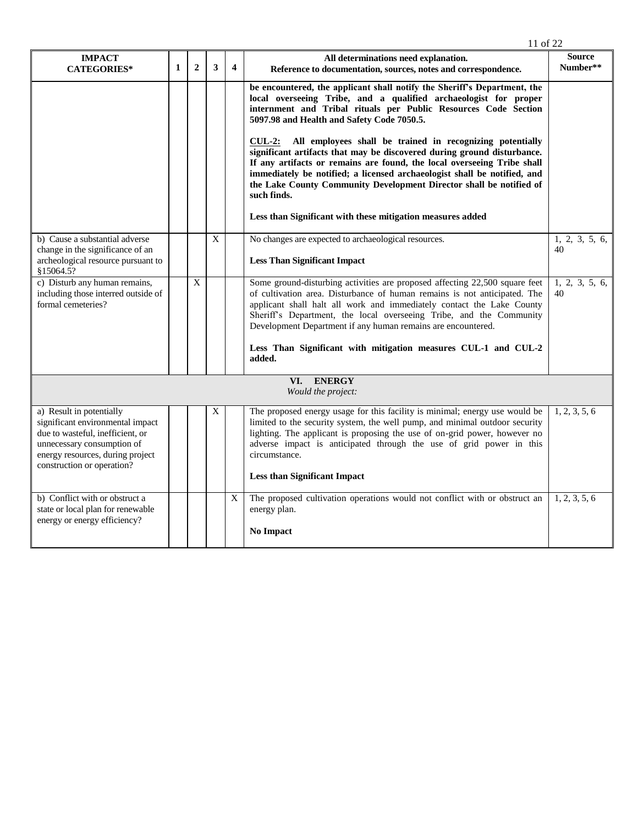|                                                                                                                                                                                                  |              |                |             |                         | 11 of 22                                                                                                                                                                                                                                                                                                                                                                                             |                           |
|--------------------------------------------------------------------------------------------------------------------------------------------------------------------------------------------------|--------------|----------------|-------------|-------------------------|------------------------------------------------------------------------------------------------------------------------------------------------------------------------------------------------------------------------------------------------------------------------------------------------------------------------------------------------------------------------------------------------------|---------------------------|
| <b>IMPACT</b><br><b>CATEGORIES*</b>                                                                                                                                                              | $\mathbf{1}$ | $\overline{2}$ | 3           | $\overline{\mathbf{4}}$ | All determinations need explanation.<br>Reference to documentation, sources, notes and correspondence.                                                                                                                                                                                                                                                                                               | <b>Source</b><br>Number** |
|                                                                                                                                                                                                  |              |                |             |                         | be encountered, the applicant shall notify the Sheriff's Department, the<br>local overseeing Tribe, and a qualified archaeologist for proper<br>internment and Tribal rituals per Public Resources Code Section<br>5097.98 and Health and Safety Code 7050.5.                                                                                                                                        |                           |
|                                                                                                                                                                                                  |              |                |             |                         | All employees shall be trained in recognizing potentially<br>$\text{CUL-2:}$<br>significant artifacts that may be discovered during ground disturbance.<br>If any artifacts or remains are found, the local overseeing Tribe shall<br>immediately be notified; a licensed archaeologist shall be notified, and<br>the Lake County Community Development Director shall be notified of<br>such finds. |                           |
|                                                                                                                                                                                                  |              |                |             |                         | Less than Significant with these mitigation measures added                                                                                                                                                                                                                                                                                                                                           |                           |
| b) Cause a substantial adverse<br>change in the significance of an                                                                                                                               |              |                | $\mathbf X$ |                         | No changes are expected to archaeological resources.                                                                                                                                                                                                                                                                                                                                                 | 1, 2, 3, 5, 6,<br>40      |
| archeological resource pursuant to<br>\$15064.5?                                                                                                                                                 |              |                |             |                         | <b>Less Than Significant Impact</b>                                                                                                                                                                                                                                                                                                                                                                  |                           |
| c) Disturb any human remains,<br>including those interred outside of<br>formal cemeteries?                                                                                                       |              | X              |             |                         | Some ground-disturbing activities are proposed affecting 22,500 square feet<br>of cultivation area. Disturbance of human remains is not anticipated. The<br>applicant shall halt all work and immediately contact the Lake County<br>Sheriff's Department, the local overseeing Tribe, and the Community<br>Development Department if any human remains are encountered.                             | 1, 2, 3, 5, 6,<br>40      |
|                                                                                                                                                                                                  |              |                |             |                         | Less Than Significant with mitigation measures CUL-1 and CUL-2<br>added.                                                                                                                                                                                                                                                                                                                             |                           |
|                                                                                                                                                                                                  |              |                |             |                         | VI. ENERGY<br>Would the project:                                                                                                                                                                                                                                                                                                                                                                     |                           |
| a) Result in potentially<br>significant environmental impact<br>due to wasteful, inefficient, or<br>unnecessary consumption of<br>energy resources, during project<br>construction or operation? |              |                | X           |                         | The proposed energy usage for this facility is minimal; energy use would be<br>limited to the security system, the well pump, and minimal outdoor security<br>lighting. The applicant is proposing the use of on-grid power, however no<br>adverse impact is anticipated through the use of grid power in this<br>circumstance.                                                                      | 1, 2, 3, 5, 6             |
|                                                                                                                                                                                                  |              |                |             |                         | <b>Less than Significant Impact</b>                                                                                                                                                                                                                                                                                                                                                                  |                           |
| b) Conflict with or obstruct a<br>state or local plan for renewable<br>energy or energy efficiency?                                                                                              |              |                |             | X                       | The proposed cultivation operations would not conflict with or obstruct an<br>energy plan.<br><b>No Impact</b>                                                                                                                                                                                                                                                                                       | 1, 2, 3, 5, 6             |
|                                                                                                                                                                                                  |              |                |             |                         |                                                                                                                                                                                                                                                                                                                                                                                                      |                           |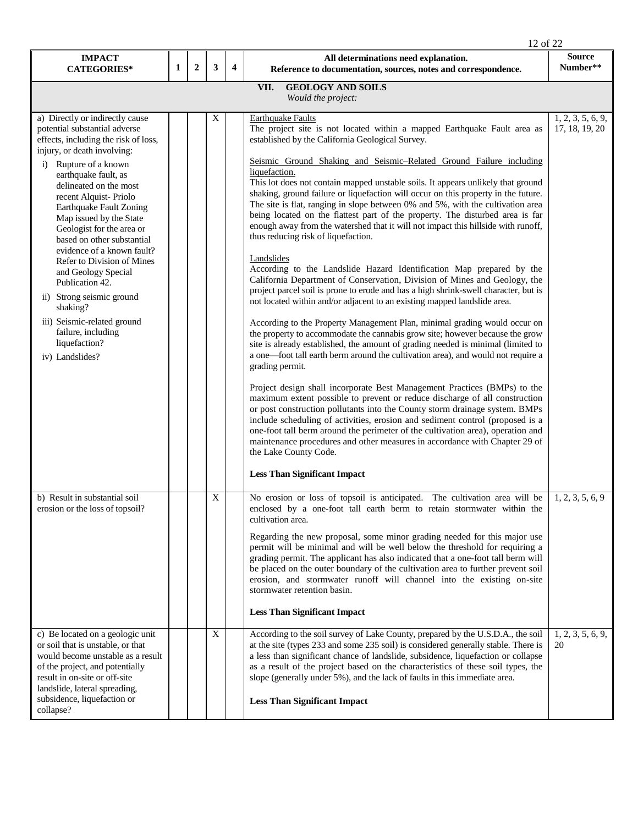|                                                                                                                                                                                                                                                                                                                                                                                                                                                                                                                                                                                                      |   |                  |                           |                         | 12 of 22                                                                                                                                                                                                                                                                                                                                                                                                                                                                                                                                                                                                                                                                                                                                                                                                                                                                                                                                                                                                                                                                                                                                                                                                                                                                                                                                                                                                                                                                                                                                                                                                                                                                                                                                                                                                                                                                                                                                                                            |                                     |  |  |
|------------------------------------------------------------------------------------------------------------------------------------------------------------------------------------------------------------------------------------------------------------------------------------------------------------------------------------------------------------------------------------------------------------------------------------------------------------------------------------------------------------------------------------------------------------------------------------------------------|---|------------------|---------------------------|-------------------------|-------------------------------------------------------------------------------------------------------------------------------------------------------------------------------------------------------------------------------------------------------------------------------------------------------------------------------------------------------------------------------------------------------------------------------------------------------------------------------------------------------------------------------------------------------------------------------------------------------------------------------------------------------------------------------------------------------------------------------------------------------------------------------------------------------------------------------------------------------------------------------------------------------------------------------------------------------------------------------------------------------------------------------------------------------------------------------------------------------------------------------------------------------------------------------------------------------------------------------------------------------------------------------------------------------------------------------------------------------------------------------------------------------------------------------------------------------------------------------------------------------------------------------------------------------------------------------------------------------------------------------------------------------------------------------------------------------------------------------------------------------------------------------------------------------------------------------------------------------------------------------------------------------------------------------------------------------------------------------------|-------------------------------------|--|--|
| <b>IMPACT</b><br><b>CATEGORIES*</b>                                                                                                                                                                                                                                                                                                                                                                                                                                                                                                                                                                  | 1 | $\boldsymbol{2}$ | 3                         | $\overline{\mathbf{4}}$ | All determinations need explanation.<br>Reference to documentation, sources, notes and correspondence.                                                                                                                                                                                                                                                                                                                                                                                                                                                                                                                                                                                                                                                                                                                                                                                                                                                                                                                                                                                                                                                                                                                                                                                                                                                                                                                                                                                                                                                                                                                                                                                                                                                                                                                                                                                                                                                                              | <b>Source</b><br>Number**           |  |  |
| VII.<br><b>GEOLOGY AND SOILS</b><br>Would the project:                                                                                                                                                                                                                                                                                                                                                                                                                                                                                                                                               |   |                  |                           |                         |                                                                                                                                                                                                                                                                                                                                                                                                                                                                                                                                                                                                                                                                                                                                                                                                                                                                                                                                                                                                                                                                                                                                                                                                                                                                                                                                                                                                                                                                                                                                                                                                                                                                                                                                                                                                                                                                                                                                                                                     |                                     |  |  |
| a) Directly or indirectly cause<br>potential substantial adverse<br>effects, including the risk of loss,<br>injury, or death involving:<br>i) Rupture of a known<br>earthquake fault, as<br>delineated on the most<br>recent Alquist-Priolo<br>Earthquake Fault Zoning<br>Map issued by the State<br>Geologist for the area or<br>based on other substantial<br>evidence of a known fault?<br>Refer to Division of Mines<br>and Geology Special<br>Publication 42.<br>ii) Strong seismic ground<br>shaking?<br>iii) Seismic-related ground<br>failure, including<br>liquefaction?<br>iv) Landslides? |   |                  | X                         |                         | <b>Earthquake Faults</b><br>The project site is not located within a mapped Earthquake Fault area as<br>established by the California Geological Survey.<br>Seismic Ground Shaking and Seismic-Related Ground Failure including<br>liquefaction.<br>This lot does not contain mapped unstable soils. It appears unlikely that ground<br>shaking, ground failure or liquefaction will occur on this property in the future.<br>The site is flat, ranging in slope between 0% and 5%, with the cultivation area<br>being located on the flattest part of the property. The disturbed area is far<br>enough away from the watershed that it will not impact this hillside with runoff,<br>thus reducing risk of liquefaction.<br>Landslides<br>According to the Landslide Hazard Identification Map prepared by the<br>California Department of Conservation, Division of Mines and Geology, the<br>project parcel soil is prone to erode and has a high shrink-swell character, but is<br>not located within and/or adjacent to an existing mapped landslide area.<br>According to the Property Management Plan, minimal grading would occur on<br>the property to accommodate the cannabis grow site; however because the grow<br>site is already established, the amount of grading needed is minimal (limited to<br>a one-foot tall earth berm around the cultivation area), and would not require a<br>grading permit.<br>Project design shall incorporate Best Management Practices (BMPs) to the<br>maximum extent possible to prevent or reduce discharge of all construction<br>or post construction pollutants into the County storm drainage system. BMPs<br>include scheduling of activities, erosion and sediment control (proposed is a<br>one-foot tall berm around the perimeter of the cultivation area), operation and<br>maintenance procedures and other measures in accordance with Chapter 29 of<br>the Lake County Code.<br><b>Less Than Significant Impact</b> | 1, 2, 3, 5, 6, 9,<br>17, 18, 19, 20 |  |  |
| b) Result in substantial soil<br>erosion or the loss of topsoil?                                                                                                                                                                                                                                                                                                                                                                                                                                                                                                                                     |   |                  | $\boldsymbol{\mathrm{X}}$ |                         | No erosion or loss of topsoil is anticipated. The cultivation area will be<br>enclosed by a one-foot tall earth berm to retain stormwater within the<br>cultivation area.<br>Regarding the new proposal, some minor grading needed for this major use<br>permit will be minimal and will be well below the threshold for requiring a<br>grading permit. The applicant has also indicated that a one-foot tall berm will<br>be placed on the outer boundary of the cultivation area to further prevent soil<br>erosion, and stormwater runoff will channel into the existing on-site<br>stormwater retention basin.<br><b>Less Than Significant Impact</b>                                                                                                                                                                                                                                                                                                                                                                                                                                                                                                                                                                                                                                                                                                                                                                                                                                                                                                                                                                                                                                                                                                                                                                                                                                                                                                                           | 1, 2, 3, 5, 6, 9                    |  |  |
| c) Be located on a geologic unit<br>or soil that is unstable, or that<br>would become unstable as a result<br>of the project, and potentially<br>result in on-site or off-site<br>landslide, lateral spreading,<br>subsidence, liquefaction or<br>collapse?                                                                                                                                                                                                                                                                                                                                          |   |                  | X                         |                         | According to the soil survey of Lake County, prepared by the U.S.D.A., the soil<br>at the site (types 233 and some 235 soil) is considered generally stable. There is<br>a less than significant chance of landslide, subsidence, liquefaction or collapse<br>as a result of the project based on the characteristics of these soil types, the<br>slope (generally under 5%), and the lack of faults in this immediate area.<br><b>Less Than Significant Impact</b>                                                                                                                                                                                                                                                                                                                                                                                                                                                                                                                                                                                                                                                                                                                                                                                                                                                                                                                                                                                                                                                                                                                                                                                                                                                                                                                                                                                                                                                                                                                 | 1, 2, 3, 5, 6, 9,<br>20             |  |  |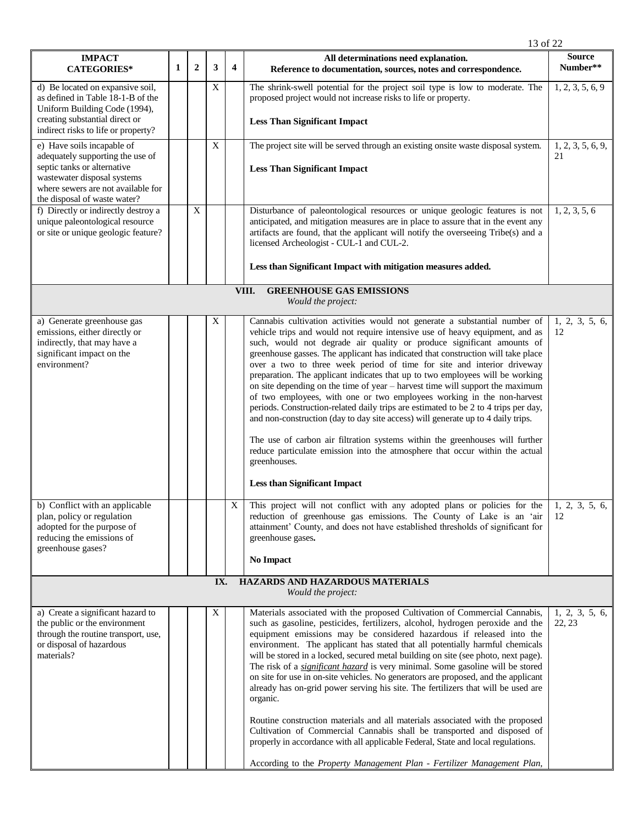| <b>IMPACT</b><br><b>CATEGORIES*</b>                                                                                                                                       | 1 | $\overline{2}$ | 3   | $\overline{\mathbf{4}}$ | All determinations need explanation.<br>Reference to documentation, sources, notes and correspondence.                                                                                                                                                                                                                                                                                                                                                                                                                                                                                                                                                                                                                                                                                                                                                                                                                                                                                                                                                                                                                                              | <b>Source</b><br>Number** |
|---------------------------------------------------------------------------------------------------------------------------------------------------------------------------|---|----------------|-----|-------------------------|-----------------------------------------------------------------------------------------------------------------------------------------------------------------------------------------------------------------------------------------------------------------------------------------------------------------------------------------------------------------------------------------------------------------------------------------------------------------------------------------------------------------------------------------------------------------------------------------------------------------------------------------------------------------------------------------------------------------------------------------------------------------------------------------------------------------------------------------------------------------------------------------------------------------------------------------------------------------------------------------------------------------------------------------------------------------------------------------------------------------------------------------------------|---------------------------|
| d) Be located on expansive soil,<br>as defined in Table 18-1-B of the<br>Uniform Building Code (1994),                                                                    |   |                | X   |                         | The shrink-swell potential for the project soil type is low to moderate. The<br>proposed project would not increase risks to life or property.                                                                                                                                                                                                                                                                                                                                                                                                                                                                                                                                                                                                                                                                                                                                                                                                                                                                                                                                                                                                      | 1, 2, 3, 5, 6, 9          |
| creating substantial direct or<br>indirect risks to life or property?                                                                                                     |   |                |     |                         | <b>Less Than Significant Impact</b>                                                                                                                                                                                                                                                                                                                                                                                                                                                                                                                                                                                                                                                                                                                                                                                                                                                                                                                                                                                                                                                                                                                 |                           |
| e) Have soils incapable of<br>adequately supporting the use of<br>septic tanks or alternative<br>wastewater disposal systems                                              |   |                | X   |                         | The project site will be served through an existing onsite waste disposal system.<br><b>Less Than Significant Impact</b>                                                                                                                                                                                                                                                                                                                                                                                                                                                                                                                                                                                                                                                                                                                                                                                                                                                                                                                                                                                                                            | 1, 2, 3, 5, 6, 9,<br>21   |
| where sewers are not available for<br>the disposal of waste water?                                                                                                        |   |                |     |                         |                                                                                                                                                                                                                                                                                                                                                                                                                                                                                                                                                                                                                                                                                                                                                                                                                                                                                                                                                                                                                                                                                                                                                     |                           |
| f) Directly or indirectly destroy a<br>unique paleontological resource<br>or site or unique geologic feature?                                                             |   | X              |     |                         | Disturbance of paleontological resources or unique geologic features is not<br>anticipated, and mitigation measures are in place to assure that in the event any<br>artifacts are found, that the applicant will notify the overseeing Tribe(s) and a<br>licensed Archeologist - CUL-1 and CUL-2.                                                                                                                                                                                                                                                                                                                                                                                                                                                                                                                                                                                                                                                                                                                                                                                                                                                   | 1, 2, 3, 5, 6             |
|                                                                                                                                                                           |   |                |     |                         | Less than Significant Impact with mitigation measures added.                                                                                                                                                                                                                                                                                                                                                                                                                                                                                                                                                                                                                                                                                                                                                                                                                                                                                                                                                                                                                                                                                        |                           |
|                                                                                                                                                                           |   |                |     |                         | <b>GREENHOUSE GAS EMISSIONS</b><br>VIII.<br>Would the project:                                                                                                                                                                                                                                                                                                                                                                                                                                                                                                                                                                                                                                                                                                                                                                                                                                                                                                                                                                                                                                                                                      |                           |
| a) Generate greenhouse gas<br>emissions, either directly or<br>indirectly, that may have a<br>significant impact on the<br>environment?<br>b) Conflict with an applicable |   |                | X   | X                       | Cannabis cultivation activities would not generate a substantial number of<br>vehicle trips and would not require intensive use of heavy equipment, and as<br>such, would not degrade air quality or produce significant amounts of<br>greenhouse gasses. The applicant has indicated that construction will take place<br>over a two to three week period of time for site and interior driveway<br>preparation. The applicant indicates that up to two employees will be working<br>on site depending on the time of year - harvest time will support the maximum<br>of two employees, with one or two employees working in the non-harvest<br>periods. Construction-related daily trips are estimated to be 2 to 4 trips per day,<br>and non-construction (day to day site access) will generate up to 4 daily trips.<br>The use of carbon air filtration systems within the greenhouses will further<br>reduce particulate emission into the atmosphere that occur within the actual<br>greenhouses.<br><b>Less than Significant Impact</b><br>This project will not conflict with any adopted plans or policies for the $\vert$ 1, 2, 3, 5, 6, | 1, 2, 3, 5, 6,<br>12      |
| plan, policy or regulation<br>adopted for the purpose of<br>reducing the emissions of<br>greenhouse gases?                                                                |   |                |     |                         | reduction of greenhouse gas emissions. The County of Lake is an 'air $\vert$ 12<br>attainment' County, and does not have established thresholds of significant for<br>greenhouse gases.<br><b>No Impact</b>                                                                                                                                                                                                                                                                                                                                                                                                                                                                                                                                                                                                                                                                                                                                                                                                                                                                                                                                         |                           |
|                                                                                                                                                                           |   |                | IX. |                         | HAZARDS AND HAZARDOUS MATERIALS<br>Would the project:                                                                                                                                                                                                                                                                                                                                                                                                                                                                                                                                                                                                                                                                                                                                                                                                                                                                                                                                                                                                                                                                                               |                           |
| a) Create a significant hazard to<br>the public or the environment<br>through the routine transport, use,<br>or disposal of hazardous<br>materials?                       |   |                | X   |                         | Materials associated with the proposed Cultivation of Commercial Cannabis,<br>such as gasoline, pesticides, fertilizers, alcohol, hydrogen peroxide and the<br>equipment emissions may be considered hazardous if released into the<br>environment. The applicant has stated that all potentially harmful chemicals<br>will be stored in a locked, secured metal building on site (see photo, next page).<br>The risk of a <i>significant hazard</i> is very minimal. Some gasoline will be stored<br>on site for use in on-site vehicles. No generators are proposed, and the applicant<br>already has on-grid power serving his site. The fertilizers that will be used are<br>organic.<br>Routine construction materials and all materials associated with the proposed<br>Cultivation of Commercial Cannabis shall be transported and disposed of<br>properly in accordance with all applicable Federal, State and local regulations.<br>According to the Property Management Plan - Fertilizer Management Plan,                                                                                                                                | 1, 2, 3, 5, 6,<br>22, 23  |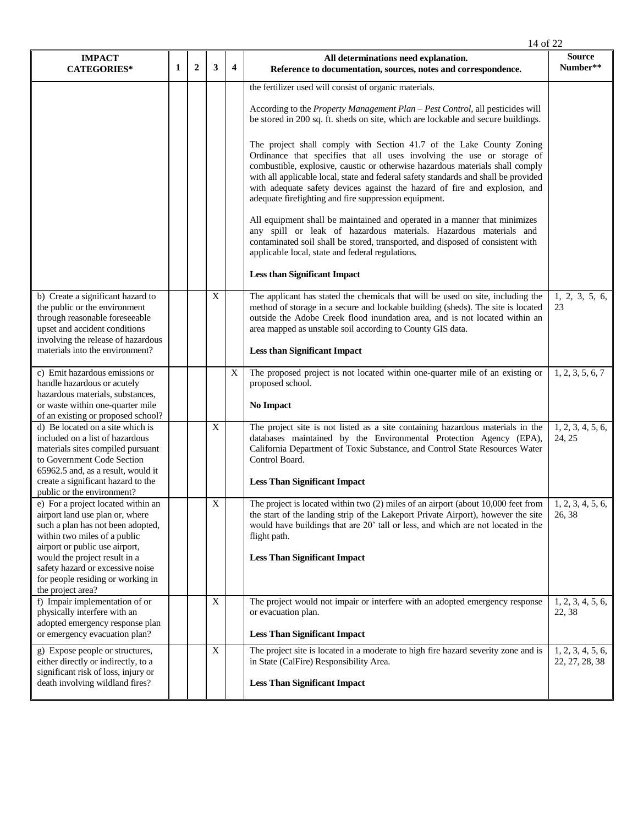|                                                                                                                                                                                                                                                                                                             |   |                |             |                         | 14 of 22                                                                                                                                                                                                                                                                                                                                                                                                                                                                                                                                                                                                                                                                                                                                                                                                                                                                                                                                                                                      |                                     |
|-------------------------------------------------------------------------------------------------------------------------------------------------------------------------------------------------------------------------------------------------------------------------------------------------------------|---|----------------|-------------|-------------------------|-----------------------------------------------------------------------------------------------------------------------------------------------------------------------------------------------------------------------------------------------------------------------------------------------------------------------------------------------------------------------------------------------------------------------------------------------------------------------------------------------------------------------------------------------------------------------------------------------------------------------------------------------------------------------------------------------------------------------------------------------------------------------------------------------------------------------------------------------------------------------------------------------------------------------------------------------------------------------------------------------|-------------------------------------|
| <b>IMPACT</b><br><b>CATEGORIES*</b>                                                                                                                                                                                                                                                                         | 1 | $\overline{2}$ | 3           | $\overline{\mathbf{4}}$ | All determinations need explanation.<br>Reference to documentation, sources, notes and correspondence.                                                                                                                                                                                                                                                                                                                                                                                                                                                                                                                                                                                                                                                                                                                                                                                                                                                                                        | <b>Source</b><br>Number**           |
|                                                                                                                                                                                                                                                                                                             |   |                |             |                         | the fertilizer used will consist of organic materials.<br>According to the <i>Property Management Plan – Pest Control</i> , all pesticides will<br>be stored in 200 sq. ft. sheds on site, which are lockable and secure buildings.<br>The project shall comply with Section 41.7 of the Lake County Zoning<br>Ordinance that specifies that all uses involving the use or storage of<br>combustible, explosive, caustic or otherwise hazardous materials shall comply<br>with all applicable local, state and federal safety standards and shall be provided<br>with adequate safety devices against the hazard of fire and explosion, and<br>adequate firefighting and fire suppression equipment.<br>All equipment shall be maintained and operated in a manner that minimizes<br>any spill or leak of hazardous materials. Hazardous materials and<br>contaminated soil shall be stored, transported, and disposed of consistent with<br>applicable local, state and federal regulations. |                                     |
| b) Create a significant hazard to<br>the public or the environment<br>through reasonable foreseeable<br>upset and accident conditions<br>involving the release of hazardous                                                                                                                                 |   |                | X           |                         | <b>Less than Significant Impact</b><br>The applicant has stated the chemicals that will be used on site, including the<br>method of storage in a secure and lockable building (sheds). The site is located<br>outside the Adobe Creek flood inundation area, and is not located within an<br>area mapped as unstable soil according to County GIS data.                                                                                                                                                                                                                                                                                                                                                                                                                                                                                                                                                                                                                                       | 1, 2, 3, 5, 6,<br>23                |
| materials into the environment?                                                                                                                                                                                                                                                                             |   |                |             |                         | <b>Less than Significant Impact</b>                                                                                                                                                                                                                                                                                                                                                                                                                                                                                                                                                                                                                                                                                                                                                                                                                                                                                                                                                           |                                     |
| c) Emit hazardous emissions or<br>handle hazardous or acutely<br>hazardous materials, substances,<br>or waste within one-quarter mile<br>of an existing or proposed school?                                                                                                                                 |   |                |             | X                       | The proposed project is not located within one-quarter mile of an existing or<br>proposed school.<br><b>No Impact</b>                                                                                                                                                                                                                                                                                                                                                                                                                                                                                                                                                                                                                                                                                                                                                                                                                                                                         | 1, 2, 3, 5, 6, 7                    |
| d) Be located on a site which is<br>included on a list of hazardous<br>materials sites compiled pursuant<br>to Government Code Section<br>65962.5 and, as a result, would it<br>create a significant hazard to the<br>public or the environment?                                                            |   |                | X           |                         | The project site is not listed as a site containing hazardous materials in the<br>databases maintained by the Environmental Protection Agency (EPA),<br>California Department of Toxic Substance, and Control State Resources Water<br>Control Board.<br><b>Less Than Significant Impact</b>                                                                                                                                                                                                                                                                                                                                                                                                                                                                                                                                                                                                                                                                                                  | 1, 2, 3, 4, 5, 6,<br>24, 25         |
| e) For a project located within an<br>airport land use plan or, where<br>such a plan has not been adopted,<br>within two miles of a public<br>airport or public use airport,<br>would the project result in a<br>safety hazard or excessive noise<br>for people residing or working in<br>the project area? |   |                | $\mathbf X$ |                         | The project is located within two (2) miles of an airport (about 10,000 feet from $\vert$ 1, 2, 3, 4, 5, 6,<br>the start of the landing strip of the Lakeport Private Airport), however the site<br>would have buildings that are 20' tall or less, and which are not located in the<br>flight path.<br><b>Less Than Significant Impact</b>                                                                                                                                                                                                                                                                                                                                                                                                                                                                                                                                                                                                                                                   | 26.38                               |
| f) Impair implementation of or<br>physically interfere with an<br>adopted emergency response plan<br>or emergency evacuation plan?                                                                                                                                                                          |   |                | X           |                         | The project would not impair or interfere with an adopted emergency response<br>or evacuation plan.<br><b>Less Than Significant Impact</b>                                                                                                                                                                                                                                                                                                                                                                                                                                                                                                                                                                                                                                                                                                                                                                                                                                                    | 1, 2, 3, 4, 5, 6,<br>22, 38         |
| g) Expose people or structures,<br>either directly or indirectly, to a<br>significant risk of loss, injury or<br>death involving wildland fires?                                                                                                                                                            |   |                | X           |                         | The project site is located in a moderate to high fire hazard severity zone and is<br>in State (CalFire) Responsibility Area.<br><b>Less Than Significant Impact</b>                                                                                                                                                                                                                                                                                                                                                                                                                                                                                                                                                                                                                                                                                                                                                                                                                          | 1, 2, 3, 4, 5, 6,<br>22, 27, 28, 38 |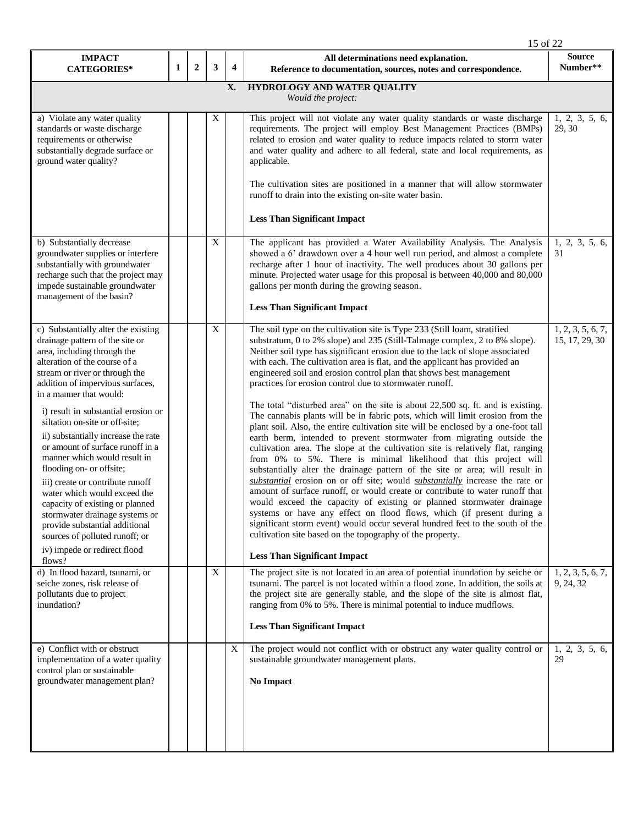|                                                                                                                                                                                                                                                                                                                                                                                                                                                                                                                                                                                                                                                                                                                |   |                  |                           |                         | 15 of 22                                                                                                                                                                                                                                                                                                                                                                                                                                                                                                                                                                                                                                                                                                                                                                                                                                                                                                                                                                                                                                                                                                                                                                                                                                                                                                                                                                                                                                                                                                                                 |                                     |  |  |
|----------------------------------------------------------------------------------------------------------------------------------------------------------------------------------------------------------------------------------------------------------------------------------------------------------------------------------------------------------------------------------------------------------------------------------------------------------------------------------------------------------------------------------------------------------------------------------------------------------------------------------------------------------------------------------------------------------------|---|------------------|---------------------------|-------------------------|------------------------------------------------------------------------------------------------------------------------------------------------------------------------------------------------------------------------------------------------------------------------------------------------------------------------------------------------------------------------------------------------------------------------------------------------------------------------------------------------------------------------------------------------------------------------------------------------------------------------------------------------------------------------------------------------------------------------------------------------------------------------------------------------------------------------------------------------------------------------------------------------------------------------------------------------------------------------------------------------------------------------------------------------------------------------------------------------------------------------------------------------------------------------------------------------------------------------------------------------------------------------------------------------------------------------------------------------------------------------------------------------------------------------------------------------------------------------------------------------------------------------------------------|-------------------------------------|--|--|
| <b>IMPACT</b><br><b>CATEGORIES*</b>                                                                                                                                                                                                                                                                                                                                                                                                                                                                                                                                                                                                                                                                            | 1 | $\boldsymbol{2}$ | 3                         | $\overline{\mathbf{4}}$ | All determinations need explanation.<br>Reference to documentation, sources, notes and correspondence.                                                                                                                                                                                                                                                                                                                                                                                                                                                                                                                                                                                                                                                                                                                                                                                                                                                                                                                                                                                                                                                                                                                                                                                                                                                                                                                                                                                                                                   | <b>Source</b><br>Number**           |  |  |
| HYDROLOGY AND WATER QUALITY<br>X.<br>Would the project:                                                                                                                                                                                                                                                                                                                                                                                                                                                                                                                                                                                                                                                        |   |                  |                           |                         |                                                                                                                                                                                                                                                                                                                                                                                                                                                                                                                                                                                                                                                                                                                                                                                                                                                                                                                                                                                                                                                                                                                                                                                                                                                                                                                                                                                                                                                                                                                                          |                                     |  |  |
| a) Violate any water quality<br>standards or waste discharge<br>requirements or otherwise<br>substantially degrade surface or<br>ground water quality?                                                                                                                                                                                                                                                                                                                                                                                                                                                                                                                                                         |   |                  | X                         |                         | This project will not violate any water quality standards or waste discharge<br>requirements. The project will employ Best Management Practices (BMPs)<br>related to erosion and water quality to reduce impacts related to storm water<br>and water quality and adhere to all federal, state and local requirements, as<br>applicable.<br>The cultivation sites are positioned in a manner that will allow stormwater<br>runoff to drain into the existing on-site water basin.<br><b>Less Than Significant Impact</b>                                                                                                                                                                                                                                                                                                                                                                                                                                                                                                                                                                                                                                                                                                                                                                                                                                                                                                                                                                                                                  | 1, 2, 3, 5, 6,<br>29, 30            |  |  |
| b) Substantially decrease<br>groundwater supplies or interfere<br>substantially with groundwater<br>recharge such that the project may<br>impede sustainable groundwater<br>management of the basin?                                                                                                                                                                                                                                                                                                                                                                                                                                                                                                           |   |                  | $\boldsymbol{\mathrm{X}}$ |                         | The applicant has provided a Water Availability Analysis. The Analysis<br>showed a 6' drawdown over a 4 hour well run period, and almost a complete<br>recharge after 1 hour of inactivity. The well produces about 30 gallons per<br>minute. Projected water usage for this proposal is between 40,000 and 80,000<br>gallons per month during the growing season.<br><b>Less Than Significant Impact</b>                                                                                                                                                                                                                                                                                                                                                                                                                                                                                                                                                                                                                                                                                                                                                                                                                                                                                                                                                                                                                                                                                                                                | 1, 2, 3, 5, 6,<br>31                |  |  |
| c) Substantially alter the existing<br>drainage pattern of the site or<br>area, including through the<br>alteration of the course of a<br>stream or river or through the<br>addition of impervious surfaces,<br>in a manner that would:<br>i) result in substantial erosion or<br>siltation on-site or off-site;<br>ii) substantially increase the rate<br>or amount of surface runoff in a<br>manner which would result in<br>flooding on- or offsite;<br>iii) create or contribute runoff<br>water which would exceed the<br>capacity of existing or planned<br>stormwater drainage systems or<br>provide substantial additional<br>sources of polluted runoff; or<br>iv) impede or redirect flood<br>flows? |   |                  | X                         |                         | The soil type on the cultivation site is Type 233 (Still loam, stratified<br>substratum, 0 to 2% slope) and 235 (Still-Talmage complex, 2 to 8% slope).<br>Neither soil type has significant erosion due to the lack of slope associated<br>with each. The cultivation area is flat, and the applicant has provided an<br>engineered soil and erosion control plan that shows best management<br>practices for erosion control due to stormwater runoff.<br>The total "disturbed area" on the site is about 22,500 sq. ft. and is existing.<br>The cannabis plants will be in fabric pots, which will limit erosion from the<br>plant soil. Also, the entire cultivation site will be enclosed by a one-foot tall<br>earth berm, intended to prevent stormwater from migrating outside the<br>cultivation area. The slope at the cultivation site is relatively flat, ranging<br>from 0% to 5%. There is minimal likelihood that this project will<br>substantially alter the drainage pattern of the site or area; will result in<br>substantial erosion on or off site; would substantially increase the rate or<br>amount of surface runoff, or would create or contribute to water runoff that<br>would exceed the capacity of existing or planned stormwater drainage<br>systems or have any effect on flood flows, which (if present during a<br>significant storm event) would occur several hundred feet to the south of the<br>cultivation site based on the topography of the property.<br><b>Less Than Significant Impact</b> | 1, 2, 3, 5, 6, 7,<br>15, 17, 29, 30 |  |  |
| d) In flood hazard, tsunami, or<br>seiche zones, risk release of<br>pollutants due to project<br>inundation?                                                                                                                                                                                                                                                                                                                                                                                                                                                                                                                                                                                                   |   |                  | X                         |                         | The project site is not located in an area of potential inundation by seiche or<br>tsunami. The parcel is not located within a flood zone. In addition, the soils at<br>the project site are generally stable, and the slope of the site is almost flat,<br>ranging from 0% to 5%. There is minimal potential to induce mudflows.<br><b>Less Than Significant Impact</b>                                                                                                                                                                                                                                                                                                                                                                                                                                                                                                                                                                                                                                                                                                                                                                                                                                                                                                                                                                                                                                                                                                                                                                 | 1, 2, 3, 5, 6, 7,<br>9, 24, 32      |  |  |
| e) Conflict with or obstruct<br>implementation of a water quality<br>control plan or sustainable<br>groundwater management plan?                                                                                                                                                                                                                                                                                                                                                                                                                                                                                                                                                                               |   |                  |                           | X                       | The project would not conflict with or obstruct any water quality control or<br>sustainable groundwater management plans.<br><b>No Impact</b>                                                                                                                                                                                                                                                                                                                                                                                                                                                                                                                                                                                                                                                                                                                                                                                                                                                                                                                                                                                                                                                                                                                                                                                                                                                                                                                                                                                            | 1, 2, 3, 5, 6,<br>29                |  |  |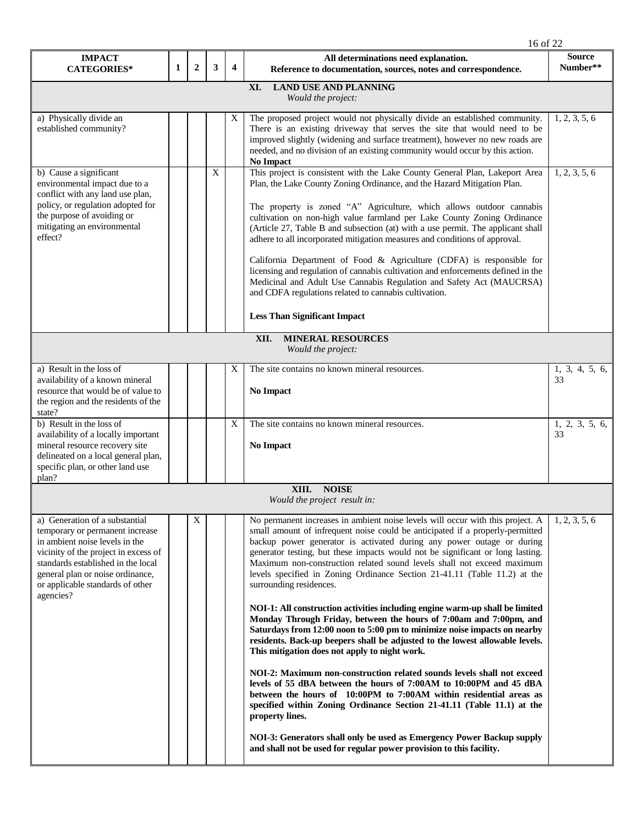|                                                                                                                                                                                                                                                                        |                                                        |                |   |                         | 16 of 22                                                                                                                                                                                                                                                                                                                                                                                                                                                                                                                                                                                                                                                                                                                                                                                                                                                                                                                                                                                                                                                                                                                                                                                                                                                                                                                                           |                           |  |  |  |
|------------------------------------------------------------------------------------------------------------------------------------------------------------------------------------------------------------------------------------------------------------------------|--------------------------------------------------------|----------------|---|-------------------------|----------------------------------------------------------------------------------------------------------------------------------------------------------------------------------------------------------------------------------------------------------------------------------------------------------------------------------------------------------------------------------------------------------------------------------------------------------------------------------------------------------------------------------------------------------------------------------------------------------------------------------------------------------------------------------------------------------------------------------------------------------------------------------------------------------------------------------------------------------------------------------------------------------------------------------------------------------------------------------------------------------------------------------------------------------------------------------------------------------------------------------------------------------------------------------------------------------------------------------------------------------------------------------------------------------------------------------------------------|---------------------------|--|--|--|
| <b>IMPACT</b><br><b>CATEGORIES*</b>                                                                                                                                                                                                                                    | 1                                                      | $\overline{2}$ | 3 | $\overline{\mathbf{4}}$ | All determinations need explanation.<br>Reference to documentation, sources, notes and correspondence.                                                                                                                                                                                                                                                                                                                                                                                                                                                                                                                                                                                                                                                                                                                                                                                                                                                                                                                                                                                                                                                                                                                                                                                                                                             | <b>Source</b><br>Number** |  |  |  |
| <b>LAND USE AND PLANNING</b><br>XI.<br>Would the project:                                                                                                                                                                                                              |                                                        |                |   |                         |                                                                                                                                                                                                                                                                                                                                                                                                                                                                                                                                                                                                                                                                                                                                                                                                                                                                                                                                                                                                                                                                                                                                                                                                                                                                                                                                                    |                           |  |  |  |
| a) Physically divide an<br>established community?                                                                                                                                                                                                                      |                                                        |                |   | X                       | The proposed project would not physically divide an established community.<br>There is an existing driveway that serves the site that would need to be<br>improved slightly (widening and surface treatment), however no new roads are<br>needed, and no division of an existing community would occur by this action.<br>No Impact                                                                                                                                                                                                                                                                                                                                                                                                                                                                                                                                                                                                                                                                                                                                                                                                                                                                                                                                                                                                                | 1, 2, 3, 5, 6             |  |  |  |
| b) Cause a significant<br>environmental impact due to a<br>conflict with any land use plan,<br>policy, or regulation adopted for<br>the purpose of avoiding or<br>mitigating an environmental<br>effect?                                                               |                                                        |                | X |                         | This project is consistent with the Lake County General Plan, Lakeport Area<br>Plan, the Lake County Zoning Ordinance, and the Hazard Mitigation Plan.<br>The property is zoned "A" Agriculture, which allows outdoor cannabis<br>cultivation on non-high value farmland per Lake County Zoning Ordinance<br>(Article 27, Table B and subsection (at) with a use permit. The applicant shall<br>adhere to all incorporated mitigation measures and conditions of approval.<br>California Department of Food & Agriculture (CDFA) is responsible for<br>licensing and regulation of cannabis cultivation and enforcements defined in the<br>Medicinal and Adult Use Cannabis Regulation and Safety Act (MAUCRSA)<br>and CDFA regulations related to cannabis cultivation.<br><b>Less Than Significant Impact</b>                                                                                                                                                                                                                                                                                                                                                                                                                                                                                                                                    | 1, 2, 3, 5, 6             |  |  |  |
|                                                                                                                                                                                                                                                                        | <b>MINERAL RESOURCES</b><br>XII.<br>Would the project: |                |   |                         |                                                                                                                                                                                                                                                                                                                                                                                                                                                                                                                                                                                                                                                                                                                                                                                                                                                                                                                                                                                                                                                                                                                                                                                                                                                                                                                                                    |                           |  |  |  |
| a) Result in the loss of                                                                                                                                                                                                                                               |                                                        |                |   | X                       | The site contains no known mineral resources.                                                                                                                                                                                                                                                                                                                                                                                                                                                                                                                                                                                                                                                                                                                                                                                                                                                                                                                                                                                                                                                                                                                                                                                                                                                                                                      | 1, 3, 4, 5, 6,            |  |  |  |
| availability of a known mineral<br>resource that would be of value to<br>the region and the residents of the<br>state?                                                                                                                                                 |                                                        |                |   |                         | <b>No Impact</b>                                                                                                                                                                                                                                                                                                                                                                                                                                                                                                                                                                                                                                                                                                                                                                                                                                                                                                                                                                                                                                                                                                                                                                                                                                                                                                                                   | 33                        |  |  |  |
| b) Result in the loss of<br>availability of a locally important<br>mineral resource recovery site<br>delineated on a local general plan,<br>specific plan, or other land use<br>plan?                                                                                  |                                                        |                |   | X                       | The site contains no known mineral resources.<br>No Impact                                                                                                                                                                                                                                                                                                                                                                                                                                                                                                                                                                                                                                                                                                                                                                                                                                                                                                                                                                                                                                                                                                                                                                                                                                                                                         | 1, 2, 3, 5, 6,<br>33      |  |  |  |
|                                                                                                                                                                                                                                                                        |                                                        |                |   |                         | XIII. NOISE<br>Would the project result in:                                                                                                                                                                                                                                                                                                                                                                                                                                                                                                                                                                                                                                                                                                                                                                                                                                                                                                                                                                                                                                                                                                                                                                                                                                                                                                        |                           |  |  |  |
| a) Generation of a substantial<br>temporary or permanent increase<br>in ambient noise levels in the<br>vicinity of the project in excess of<br>standards established in the local<br>general plan or noise ordinance,<br>or applicable standards of other<br>agencies? |                                                        | X              |   |                         | No permanent increases in ambient noise levels will occur with this project. A<br>small amount of infrequent noise could be anticipated if a properly-permitted<br>backup power generator is activated during any power outage or during<br>generator testing, but these impacts would not be significant or long lasting.<br>Maximum non-construction related sound levels shall not exceed maximum<br>levels specified in Zoning Ordinance Section 21-41.11 (Table 11.2) at the<br>surrounding residences.<br>NOI-1: All construction activities including engine warm-up shall be limited<br>Monday Through Friday, between the hours of 7:00am and 7:00pm, and<br>Saturdays from 12:00 noon to 5:00 pm to minimize noise impacts on nearby<br>residents. Back-up beepers shall be adjusted to the lowest allowable levels.<br>This mitigation does not apply to night work.<br>NOI-2: Maximum non-construction related sounds levels shall not exceed<br>levels of 55 dBA between the hours of 7:00AM to 10:00PM and 45 dBA<br>between the hours of 10:00PM to 7:00AM within residential areas as<br>specified within Zoning Ordinance Section 21-41.11 (Table 11.1) at the<br>property lines.<br>NOI-3: Generators shall only be used as Emergency Power Backup supply<br>and shall not be used for regular power provision to this facility. | 1, 2, 3, 5, 6             |  |  |  |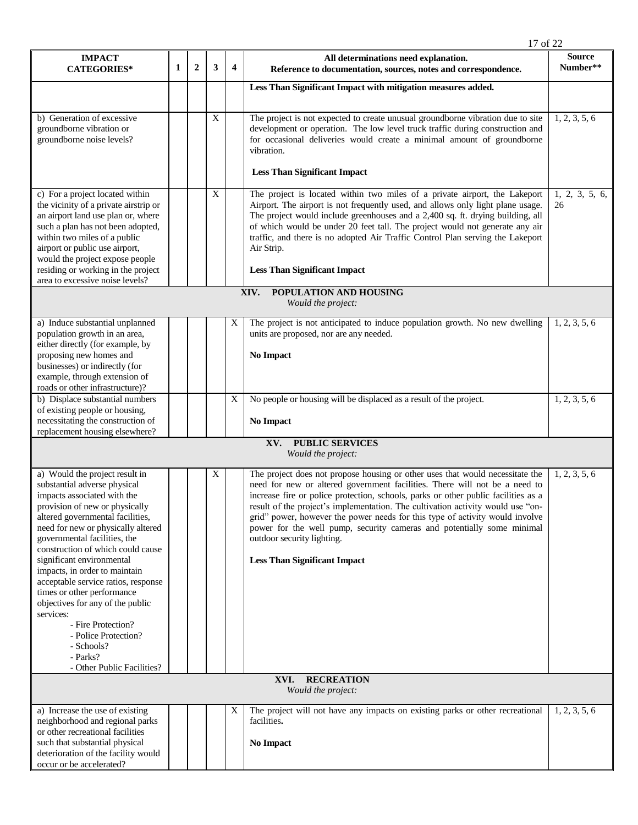|                                                                                                                                                                                                                                                                                                                                                                                                                                                                                                                                                                          |   |                |             |                | 17 of 22                                                                                                                                                                                                                                                                                                                                                                                                                                                                                                                                                            |                           |  |
|--------------------------------------------------------------------------------------------------------------------------------------------------------------------------------------------------------------------------------------------------------------------------------------------------------------------------------------------------------------------------------------------------------------------------------------------------------------------------------------------------------------------------------------------------------------------------|---|----------------|-------------|----------------|---------------------------------------------------------------------------------------------------------------------------------------------------------------------------------------------------------------------------------------------------------------------------------------------------------------------------------------------------------------------------------------------------------------------------------------------------------------------------------------------------------------------------------------------------------------------|---------------------------|--|
| <b>IMPACT</b><br><b>CATEGORIES*</b>                                                                                                                                                                                                                                                                                                                                                                                                                                                                                                                                      | 1 | $\overline{2}$ | 3           | $\overline{4}$ | All determinations need explanation.<br>Reference to documentation, sources, notes and correspondence.                                                                                                                                                                                                                                                                                                                                                                                                                                                              | <b>Source</b><br>Number** |  |
|                                                                                                                                                                                                                                                                                                                                                                                                                                                                                                                                                                          |   |                |             |                | Less Than Significant Impact with mitigation measures added.                                                                                                                                                                                                                                                                                                                                                                                                                                                                                                        |                           |  |
| b) Generation of excessive<br>groundborne vibration or<br>groundborne noise levels?                                                                                                                                                                                                                                                                                                                                                                                                                                                                                      |   |                | X           |                | The project is not expected to create unusual groundborne vibration due to site<br>development or operation. The low level truck traffic during construction and<br>for occasional deliveries would create a minimal amount of groundborne<br>vibration.<br><b>Less Than Significant Impact</b>                                                                                                                                                                                                                                                                     | 1, 2, 3, 5, 6             |  |
| c) For a project located within<br>the vicinity of a private airstrip or<br>an airport land use plan or, where<br>such a plan has not been adopted,<br>within two miles of a public<br>airport or public use airport,<br>would the project expose people<br>residing or working in the project                                                                                                                                                                                                                                                                           |   |                | $\mathbf X$ |                | The project is located within two miles of a private airport, the Lakeport<br>Airport. The airport is not frequently used, and allows only light plane usage.<br>The project would include greenhouses and a 2,400 sq. ft. drying building, all<br>of which would be under 20 feet tall. The project would not generate any air<br>traffic, and there is no adopted Air Traffic Control Plan serving the Lakeport<br>Air Strip.<br><b>Less Than Significant Impact</b>                                                                                              | 1, 2, 3, 5, 6,<br>26      |  |
| area to excessive noise levels?<br>POPULATION AND HOUSING<br>XIV.<br>Would the project:                                                                                                                                                                                                                                                                                                                                                                                                                                                                                  |   |                |             |                |                                                                                                                                                                                                                                                                                                                                                                                                                                                                                                                                                                     |                           |  |
| a) Induce substantial unplanned<br>population growth in an area,<br>either directly (for example, by<br>proposing new homes and<br>businesses) or indirectly (for<br>example, through extension of<br>roads or other infrastructure)?                                                                                                                                                                                                                                                                                                                                    |   |                |             | X              | The project is not anticipated to induce population growth. No new dwelling<br>units are proposed, nor are any needed.<br><b>No Impact</b>                                                                                                                                                                                                                                                                                                                                                                                                                          | 1, 2, 3, 5, 6             |  |
| b) Displace substantial numbers<br>of existing people or housing,<br>necessitating the construction of                                                                                                                                                                                                                                                                                                                                                                                                                                                                   |   |                |             | X              | No people or housing will be displaced as a result of the project.<br><b>No Impact</b>                                                                                                                                                                                                                                                                                                                                                                                                                                                                              | 1, 2, 3, 5, 6             |  |
| replacement housing elsewhere?<br><b>PUBLIC SERVICES</b><br>XV.<br>Would the project:                                                                                                                                                                                                                                                                                                                                                                                                                                                                                    |   |                |             |                |                                                                                                                                                                                                                                                                                                                                                                                                                                                                                                                                                                     |                           |  |
| a) Would the project result in<br>substantial adverse physical<br>impacts associated with the<br>provision of new or physically<br>altered governmental facilities,<br>need for new or physically altered<br>governmental facilities, the<br>construction of which could cause<br>significant environmental<br>impacts, in order to maintain<br>acceptable service ratios, response<br>times or other performance<br>objectives for any of the public<br>services:<br>- Fire Protection?<br>- Police Protection?<br>- Schools?<br>- Parks?<br>- Other Public Facilities? |   |                | X           |                | The project does not propose housing or other uses that would necessitate the<br>need for new or altered government facilities. There will not be a need to<br>increase fire or police protection, schools, parks or other public facilities as a<br>result of the project's implementation. The cultivation activity would use "on-<br>grid" power, however the power needs for this type of activity would involve<br>power for the well pump, security cameras and potentially some minimal<br>outdoor security lighting.<br><b>Less Than Significant Impact</b> | 1, 2, 3, 5, 6             |  |
|                                                                                                                                                                                                                                                                                                                                                                                                                                                                                                                                                                          |   |                |             |                | XVI.<br><b>RECREATION</b><br>Would the project:                                                                                                                                                                                                                                                                                                                                                                                                                                                                                                                     |                           |  |
| a) Increase the use of existing<br>neighborhood and regional parks<br>or other recreational facilities<br>such that substantial physical<br>deterioration of the facility would<br>occur or be accelerated?                                                                                                                                                                                                                                                                                                                                                              |   |                |             | X              | The project will not have any impacts on existing parks or other recreational<br>facilities.<br>No Impact                                                                                                                                                                                                                                                                                                                                                                                                                                                           | 1, 2, 3, 5, 6             |  |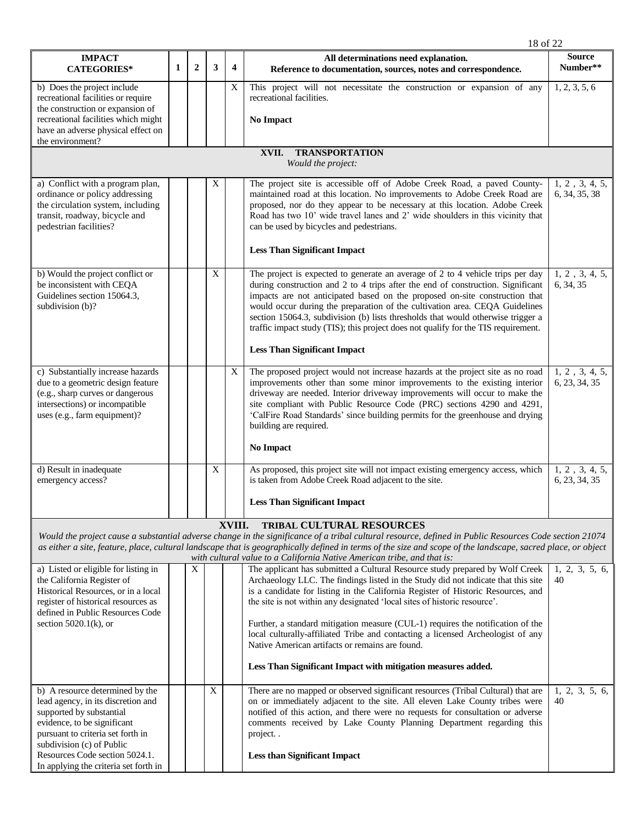|                                                                                                                                                                                                                  |   |                |   |                | 18 of 22                                                                                                                                                                                                                                                                                                                                                                                                                                                                                                                                                                                                                    |                                 |  |  |  |  |
|------------------------------------------------------------------------------------------------------------------------------------------------------------------------------------------------------------------|---|----------------|---|----------------|-----------------------------------------------------------------------------------------------------------------------------------------------------------------------------------------------------------------------------------------------------------------------------------------------------------------------------------------------------------------------------------------------------------------------------------------------------------------------------------------------------------------------------------------------------------------------------------------------------------------------------|---------------------------------|--|--|--|--|
| <b>IMPACT</b><br><b>CATEGORIES*</b>                                                                                                                                                                              | 1 | $\overline{2}$ | 3 | $\overline{4}$ | All determinations need explanation.<br>Reference to documentation, sources, notes and correspondence.                                                                                                                                                                                                                                                                                                                                                                                                                                                                                                                      | <b>Source</b><br>Number**       |  |  |  |  |
| b) Does the project include<br>recreational facilities or require                                                                                                                                                |   |                |   | X              | This project will not necessitate the construction or expansion of any<br>recreational facilities.                                                                                                                                                                                                                                                                                                                                                                                                                                                                                                                          | 1, 2, 3, 5, 6                   |  |  |  |  |
| the construction or expansion of<br>recreational facilities which might<br>have an adverse physical effect on                                                                                                    |   |                |   |                | <b>No Impact</b>                                                                                                                                                                                                                                                                                                                                                                                                                                                                                                                                                                                                            |                                 |  |  |  |  |
| the environment?                                                                                                                                                                                                 |   |                |   |                |                                                                                                                                                                                                                                                                                                                                                                                                                                                                                                                                                                                                                             |                                 |  |  |  |  |
| <b>TRANSPORTATION</b><br>XVII.<br>Would the project:                                                                                                                                                             |   |                |   |                |                                                                                                                                                                                                                                                                                                                                                                                                                                                                                                                                                                                                                             |                                 |  |  |  |  |
| a) Conflict with a program plan,<br>ordinance or policy addressing<br>the circulation system, including<br>transit, roadway, bicycle and<br>pedestrian facilities?                                               |   |                | X |                | The project site is accessible off of Adobe Creek Road, a paved County-<br>maintained road at this location. No improvements to Adobe Creek Road are<br>proposed, nor do they appear to be necessary at this location. Adobe Creek<br>Road has two 10' wide travel lanes and 2' wide shoulders in this vicinity that<br>can be used by bicycles and pedestrians.                                                                                                                                                                                                                                                            | 1, 2, 3, 4, 5,<br>6, 34, 35, 38 |  |  |  |  |
|                                                                                                                                                                                                                  |   |                |   |                | <b>Less Than Significant Impact</b>                                                                                                                                                                                                                                                                                                                                                                                                                                                                                                                                                                                         |                                 |  |  |  |  |
| b) Would the project conflict or<br>be inconsistent with CEQA<br>Guidelines section 15064.3,<br>subdivision (b)?                                                                                                 |   |                | X |                | The project is expected to generate an average of 2 to 4 vehicle trips per day<br>during construction and 2 to 4 trips after the end of construction. Significant<br>impacts are not anticipated based on the proposed on-site construction that<br>would occur during the preparation of the cultivation area. CEQA Guidelines<br>section 15064.3, subdivision (b) lists thresholds that would otherwise trigger a<br>traffic impact study (TIS); this project does not qualify for the TIS requirement.                                                                                                                   | 1, 2, 3, 4, 5,<br>6, 34, 35     |  |  |  |  |
|                                                                                                                                                                                                                  |   |                |   |                | <b>Less Than Significant Impact</b>                                                                                                                                                                                                                                                                                                                                                                                                                                                                                                                                                                                         |                                 |  |  |  |  |
| c) Substantially increase hazards<br>due to a geometric design feature<br>(e.g., sharp curves or dangerous<br>intersections) or incompatible<br>uses (e.g., farm equipment)?                                     |   |                |   | $\mathbf X$    | The proposed project would not increase hazards at the project site as no road<br>improvements other than some minor improvements to the existing interior<br>driveway are needed. Interior driveway improvements will occur to make the<br>site compliant with Public Resource Code (PRC) sections 4290 and 4291,<br>'CalFire Road Standards' since building permits for the greenhouse and drying<br>building are required.                                                                                                                                                                                               | 1, 2, 3, 4, 5,<br>6, 23, 34, 35 |  |  |  |  |
|                                                                                                                                                                                                                  |   |                |   |                | No Impact                                                                                                                                                                                                                                                                                                                                                                                                                                                                                                                                                                                                                   |                                 |  |  |  |  |
| d) Result in inadequate<br>emergency access?                                                                                                                                                                     |   |                | X |                | As proposed, this project site will not impact existing emergency access, which<br>is taken from Adobe Creek Road adjacent to the site.                                                                                                                                                                                                                                                                                                                                                                                                                                                                                     | 1, 2, 3, 4, 5,<br>6, 23, 34, 35 |  |  |  |  |
|                                                                                                                                                                                                                  |   |                |   |                | <b>Less Than Significant Impact</b>                                                                                                                                                                                                                                                                                                                                                                                                                                                                                                                                                                                         |                                 |  |  |  |  |
|                                                                                                                                                                                                                  |   |                |   | XVIII.         | TRIBAL CULTURAL RESOURCES<br>Would the project cause a substantial adverse change in the significance of a tribal cultural resource, defined in Public Resources Code section 21074<br>as either a site, feature, place, cultural landscape that is geographically defined in terms of the size and scope of the landscape, sacred place, or object<br>with cultural value to a California Native American tribe, and that is:                                                                                                                                                                                              |                                 |  |  |  |  |
| a) Listed or eligible for listing in<br>the California Register of<br>Historical Resources, or in a local<br>register of historical resources as<br>defined in Public Resources Code<br>section $5020.1(k)$ , or |   | X              |   |                | The applicant has submitted a Cultural Resource study prepared by Wolf Creek<br>Archaeology LLC. The findings listed in the Study did not indicate that this site<br>is a candidate for listing in the California Register of Historic Resources, and<br>the site is not within any designated 'local sites of historic resource'.<br>Further, a standard mitigation measure (CUL-1) requires the notification of the<br>local culturally-affiliated Tribe and contacting a licensed Archeologist of any<br>Native American artifacts or remains are found.<br>Less Than Significant Impact with mitigation measures added. | 1, 2, 3, 5, 6,<br>40            |  |  |  |  |
| b) A resource determined by the<br>lead agency, in its discretion and<br>supported by substantial<br>evidence, to be significant<br>pursuant to criteria set forth in<br>subdivision (c) of Public               |   |                | X |                | There are no mapped or observed significant resources (Tribal Cultural) that are<br>on or immediately adjacent to the site. All eleven Lake County tribes were<br>notified of this action, and there were no requests for consultation or adverse<br>comments received by Lake County Planning Department regarding this<br>project                                                                                                                                                                                                                                                                                         | 1, 2, 3, 5, 6,<br>40            |  |  |  |  |
| Resources Code section 5024.1.<br>In applying the criteria set forth in                                                                                                                                          |   |                |   |                | <b>Less than Significant Impact</b>                                                                                                                                                                                                                                                                                                                                                                                                                                                                                                                                                                                         |                                 |  |  |  |  |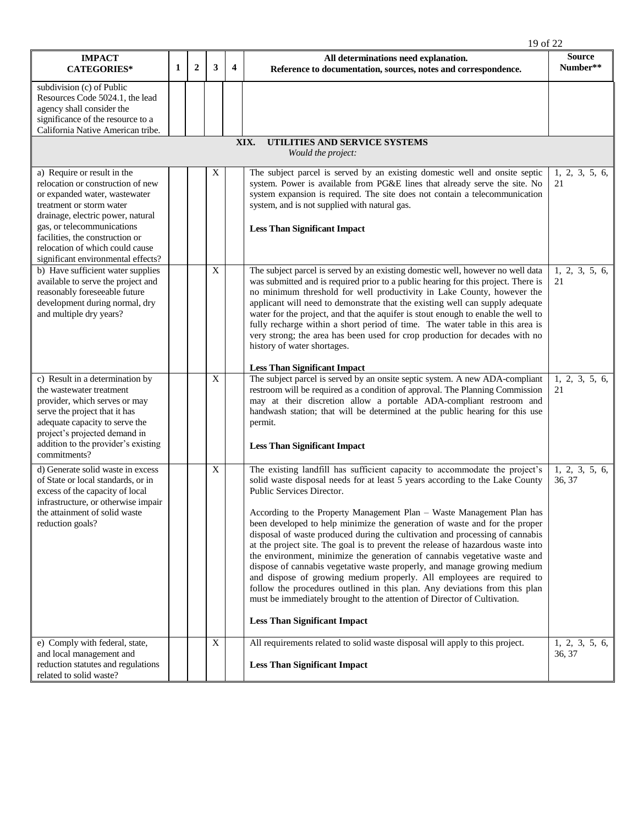|                                                                                                                                                                                                                                                                                                              |   |                |             |                         | 19 of 22                                                                                                                                                                                                                                                                                                                                                                                                                                                                                                                                                                                                                                                                                                                                                                                                                                                                                                                                             |                           |  |  |  |  |
|--------------------------------------------------------------------------------------------------------------------------------------------------------------------------------------------------------------------------------------------------------------------------------------------------------------|---|----------------|-------------|-------------------------|------------------------------------------------------------------------------------------------------------------------------------------------------------------------------------------------------------------------------------------------------------------------------------------------------------------------------------------------------------------------------------------------------------------------------------------------------------------------------------------------------------------------------------------------------------------------------------------------------------------------------------------------------------------------------------------------------------------------------------------------------------------------------------------------------------------------------------------------------------------------------------------------------------------------------------------------------|---------------------------|--|--|--|--|
| <b>IMPACT</b><br><b>CATEGORIES*</b>                                                                                                                                                                                                                                                                          | 1 | $\overline{2}$ | 3           | $\overline{\mathbf{4}}$ | All determinations need explanation.<br>Reference to documentation, sources, notes and correspondence.                                                                                                                                                                                                                                                                                                                                                                                                                                                                                                                                                                                                                                                                                                                                                                                                                                               | <b>Source</b><br>Number** |  |  |  |  |
| subdivision (c) of Public<br>Resources Code 5024.1, the lead<br>agency shall consider the<br>significance of the resource to a<br>California Native American tribe.                                                                                                                                          |   |                |             |                         |                                                                                                                                                                                                                                                                                                                                                                                                                                                                                                                                                                                                                                                                                                                                                                                                                                                                                                                                                      |                           |  |  |  |  |
| UTILITIES AND SERVICE SYSTEMS<br>XIX.<br>Would the project:                                                                                                                                                                                                                                                  |   |                |             |                         |                                                                                                                                                                                                                                                                                                                                                                                                                                                                                                                                                                                                                                                                                                                                                                                                                                                                                                                                                      |                           |  |  |  |  |
| a) Require or result in the<br>relocation or construction of new<br>or expanded water, wastewater<br>treatment or storm water<br>drainage, electric power, natural<br>gas, or telecommunications<br>facilities, the construction or<br>relocation of which could cause<br>significant environmental effects? |   |                | X           |                         | The subject parcel is served by an existing domestic well and onsite septic<br>system. Power is available from PG&E lines that already serve the site. No<br>system expansion is required. The site does not contain a telecommunication<br>system, and is not supplied with natural gas.<br><b>Less Than Significant Impact</b>                                                                                                                                                                                                                                                                                                                                                                                                                                                                                                                                                                                                                     | 1, 2, 3, 5, 6,<br>21      |  |  |  |  |
| b) Have sufficient water supplies<br>available to serve the project and<br>reasonably foreseeable future<br>development during normal, dry<br>and multiple dry years?                                                                                                                                        |   |                | $\mathbf X$ |                         | The subject parcel is served by an existing domestic well, however no well data<br>was submitted and is required prior to a public hearing for this project. There is<br>no minimum threshold for well productivity in Lake County, however the<br>applicant will need to demonstrate that the existing well can supply adequate<br>water for the project, and that the aquifer is stout enough to enable the well to<br>fully recharge within a short period of time. The water table in this area is<br>very strong; the area has been used for crop production for decades with no<br>history of water shortages.                                                                                                                                                                                                                                                                                                                                 | 1, 2, 3, 5, 6,<br>21      |  |  |  |  |
| c) Result in a determination by<br>the wastewater treatment<br>provider, which serves or may<br>serve the project that it has<br>adequate capacity to serve the<br>project's projected demand in<br>addition to the provider's existing<br>commitments?                                                      |   |                | X           |                         | <b>Less Than Significant Impact</b><br>The subject parcel is served by an onsite septic system. A new ADA-compliant<br>restroom will be required as a condition of approval. The Planning Commission<br>may at their discretion allow a portable ADA-compliant restroom and<br>handwash station; that will be determined at the public hearing for this use<br>permit.<br><b>Less Than Significant Impact</b>                                                                                                                                                                                                                                                                                                                                                                                                                                                                                                                                        | 1, 2, 3, 5, 6,<br>21      |  |  |  |  |
| d) Generate solid waste in excess<br>of State or local standards, or in<br>excess of the capacity of local<br>infrastructure, or otherwise impair<br>the attainment of solid waste<br>reduction goals?                                                                                                       |   |                | X           |                         | The existing landfill has sufficient capacity to accommodate the project's<br>solid waste disposal needs for at least 5 years according to the Lake County<br>Public Services Director.<br>According to the Property Management Plan - Waste Management Plan has<br>been developed to help minimize the generation of waste and for the proper<br>disposal of waste produced during the cultivation and processing of cannabis<br>at the project site. The goal is to prevent the release of hazardous waste into<br>the environment, minimize the generation of cannabis vegetative waste and<br>dispose of cannabis vegetative waste properly, and manage growing medium<br>and dispose of growing medium properly. All employees are required to<br>follow the procedures outlined in this plan. Any deviations from this plan<br>must be immediately brought to the attention of Director of Cultivation.<br><b>Less Than Significant Impact</b> | 1, 2, 3, 5, 6,<br>36, 37  |  |  |  |  |
| e) Comply with federal, state,<br>and local management and<br>reduction statutes and regulations<br>related to solid waste?                                                                                                                                                                                  |   |                | X           |                         | All requirements related to solid waste disposal will apply to this project.<br><b>Less Than Significant Impact</b>                                                                                                                                                                                                                                                                                                                                                                                                                                                                                                                                                                                                                                                                                                                                                                                                                                  | 1, 2, 3, 5, 6,<br>36, 37  |  |  |  |  |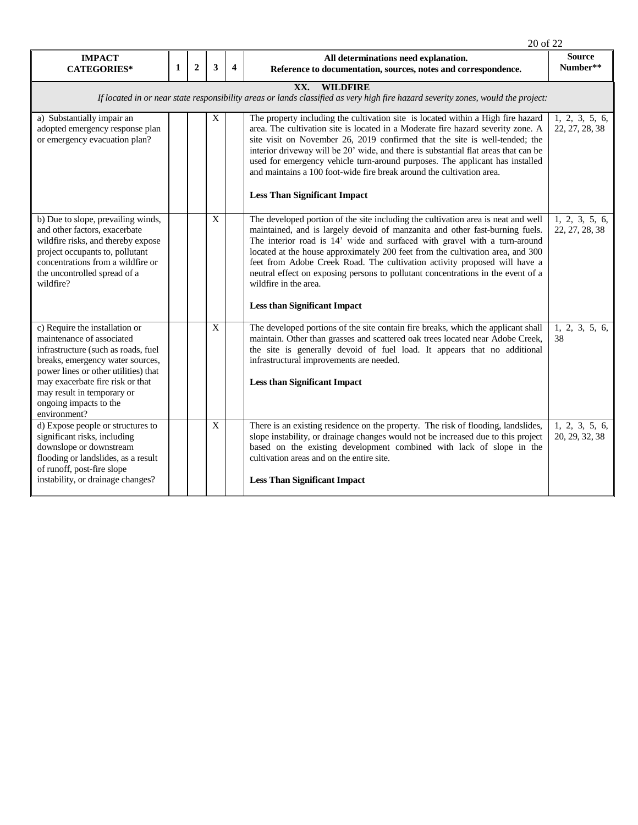|                                                                                                                                                                                                                                                                                            |              |                |              |                         | 20 of 22                                                                                                                                                                                                                                                                                                                                                                                                                                                                                                                                                          |                                  |  |
|--------------------------------------------------------------------------------------------------------------------------------------------------------------------------------------------------------------------------------------------------------------------------------------------|--------------|----------------|--------------|-------------------------|-------------------------------------------------------------------------------------------------------------------------------------------------------------------------------------------------------------------------------------------------------------------------------------------------------------------------------------------------------------------------------------------------------------------------------------------------------------------------------------------------------------------------------------------------------------------|----------------------------------|--|
| <b>IMPACT</b><br><b>CATEGORIES*</b>                                                                                                                                                                                                                                                        | $\mathbf{1}$ | $\overline{2}$ | 3            | $\overline{\mathbf{4}}$ | All determinations need explanation.<br>Reference to documentation, sources, notes and correspondence.                                                                                                                                                                                                                                                                                                                                                                                                                                                            | <b>Source</b><br>Number**        |  |
| XX.<br><b>WILDFIRE</b><br>If located in or near state responsibility areas or lands classified as very high fire hazard severity zones, would the project:                                                                                                                                 |              |                |              |                         |                                                                                                                                                                                                                                                                                                                                                                                                                                                                                                                                                                   |                                  |  |
| a) Substantially impair an<br>adopted emergency response plan<br>or emergency evacuation plan?                                                                                                                                                                                             |              |                | X            |                         | The property including the cultivation site is located within a High fire hazard<br>area. The cultivation site is located in a Moderate fire hazard severity zone. A<br>site visit on November 26, 2019 confirmed that the site is well-tended; the<br>interior driveway will be 20' wide, and there is substantial flat areas that can be<br>used for emergency vehicle turn-around purposes. The applicant has installed<br>and maintains a 100 foot-wide fire break around the cultivation area.<br><b>Less Than Significant Impact</b>                        | 1, 2, 3, 5, 6,<br>22, 27, 28, 38 |  |
| b) Due to slope, prevailing winds,<br>and other factors, exacerbate<br>wildfire risks, and thereby expose<br>project occupants to, pollutant<br>concentrations from a wildfire or<br>the uncontrolled spread of a<br>wildfire?                                                             |              |                | $\mathbf X$  |                         | The developed portion of the site including the cultivation area is neat and well<br>maintained, and is largely devoid of manzanita and other fast-burning fuels.<br>The interior road is 14' wide and surfaced with gravel with a turn-around<br>located at the house approximately 200 feet from the cultivation area, and 300<br>feet from Adobe Creek Road. The cultivation activity proposed will have a<br>neutral effect on exposing persons to pollutant concentrations in the event of a<br>wildfire in the area.<br><b>Less than Significant Impact</b> | 1, 2, 3, 5, 6,<br>22, 27, 28, 38 |  |
| c) Require the installation or<br>maintenance of associated<br>infrastructure (such as roads, fuel<br>breaks, emergency water sources,<br>power lines or other utilities) that<br>may exacerbate fire risk or that<br>may result in temporary or<br>ongoing impacts to the<br>environment? |              |                | $\mathbf{X}$ |                         | The developed portions of the site contain fire breaks, which the applicant shall<br>maintain. Other than grasses and scattered oak trees located near Adobe Creek,<br>the site is generally devoid of fuel load. It appears that no additional<br>infrastructural improvements are needed.<br><b>Less than Significant Impact</b>                                                                                                                                                                                                                                | 1, 2, 3, 5, 6,<br>38             |  |
| d) Expose people or structures to<br>significant risks, including<br>downslope or downstream<br>flooding or landslides, as a result<br>of runoff, post-fire slope<br>instability, or drainage changes?                                                                                     |              |                | $\mathbf X$  |                         | There is an existing residence on the property. The risk of flooding, landslides,<br>slope instability, or drainage changes would not be increased due to this project<br>based on the existing development combined with lack of slope in the<br>cultivation areas and on the entire site.<br><b>Less Than Significant Impact</b>                                                                                                                                                                                                                                | 1, 2, 3, 5, 6,<br>20, 29, 32, 38 |  |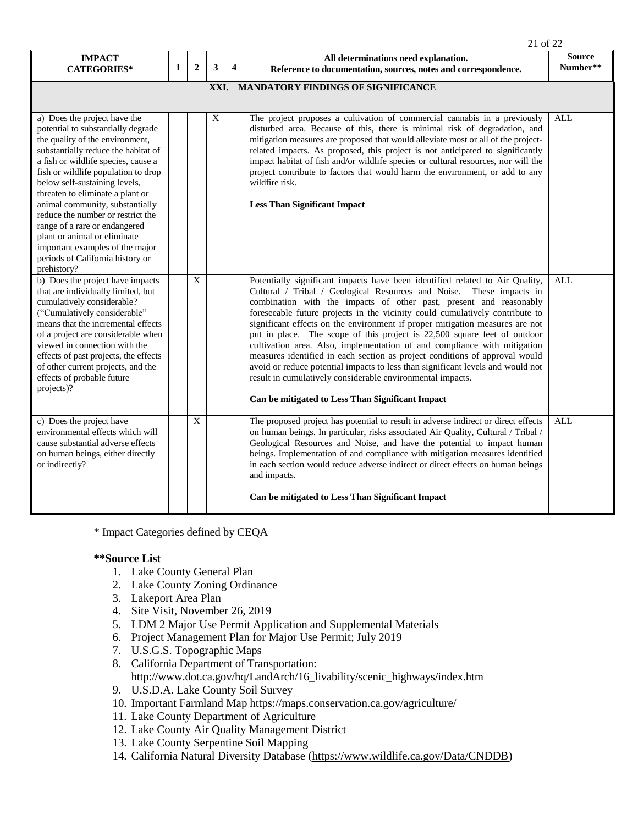|                                                                                                                                                                                                                                                                                                                                                                                                                                                                                                                                |              |                |   |                         | 21 of 22                                                                                                                                                                                                                                                                                                                                                                                                                                                                                                                                                                                                                                                                                                                                                                                                                               |                           |  |  |
|--------------------------------------------------------------------------------------------------------------------------------------------------------------------------------------------------------------------------------------------------------------------------------------------------------------------------------------------------------------------------------------------------------------------------------------------------------------------------------------------------------------------------------|--------------|----------------|---|-------------------------|----------------------------------------------------------------------------------------------------------------------------------------------------------------------------------------------------------------------------------------------------------------------------------------------------------------------------------------------------------------------------------------------------------------------------------------------------------------------------------------------------------------------------------------------------------------------------------------------------------------------------------------------------------------------------------------------------------------------------------------------------------------------------------------------------------------------------------------|---------------------------|--|--|
| <b>IMPACT</b><br><b>CATEGORIES*</b>                                                                                                                                                                                                                                                                                                                                                                                                                                                                                            | $\mathbf{1}$ | $\overline{2}$ | 3 | $\overline{\mathbf{4}}$ | All determinations need explanation.<br>Reference to documentation, sources, notes and correspondence.                                                                                                                                                                                                                                                                                                                                                                                                                                                                                                                                                                                                                                                                                                                                 | <b>Source</b><br>Number** |  |  |
| XXI. MANDATORY FINDINGS OF SIGNIFICANCE                                                                                                                                                                                                                                                                                                                                                                                                                                                                                        |              |                |   |                         |                                                                                                                                                                                                                                                                                                                                                                                                                                                                                                                                                                                                                                                                                                                                                                                                                                        |                           |  |  |
| a) Does the project have the<br>potential to substantially degrade<br>the quality of the environment,<br>substantially reduce the habitat of<br>a fish or wildlife species, cause a<br>fish or wildlife population to drop<br>below self-sustaining levels,<br>threaten to eliminate a plant or<br>animal community, substantially<br>reduce the number or restrict the<br>range of a rare or endangered<br>plant or animal or eliminate<br>important examples of the major<br>periods of California history or<br>prehistory? |              |                | X |                         | The project proposes a cultivation of commercial cannabis in a previously<br>disturbed area. Because of this, there is minimal risk of degradation, and<br>mitigation measures are proposed that would alleviate most or all of the project-<br>related impacts. As proposed, this project is not anticipated to significantly<br>impact habitat of fish and/or wildlife species or cultural resources, nor will the<br>project contribute to factors that would harm the environment, or add to any<br>wildfire risk.<br><b>Less Than Significant Impact</b>                                                                                                                                                                                                                                                                          | ALL                       |  |  |
| b) Does the project have impacts<br>that are individually limited, but<br>cumulatively considerable?<br>("Cumulatively considerable"<br>means that the incremental effects<br>of a project are considerable when<br>viewed in connection with the<br>effects of past projects, the effects<br>of other current projects, and the<br>effects of probable future<br>projects)?                                                                                                                                                   |              | $\mathbf{X}$   |   |                         | Potentially significant impacts have been identified related to Air Quality,<br>Cultural / Tribal / Geological Resources and Noise. These impacts in<br>combination with the impacts of other past, present and reasonably<br>foreseeable future projects in the vicinity could cumulatively contribute to<br>significant effects on the environment if proper mitigation measures are not<br>put in place. The scope of this project is 22,500 square feet of outdoor<br>cultivation area. Also, implementation of and compliance with mitigation<br>measures identified in each section as project conditions of approval would<br>avoid or reduce potential impacts to less than significant levels and would not<br>result in cumulatively considerable environmental impacts.<br>Can be mitigated to Less Than Significant Impact | <b>ALL</b>                |  |  |
| c) Does the project have<br>environmental effects which will<br>cause substantial adverse effects<br>on human beings, either directly<br>or indirectly?                                                                                                                                                                                                                                                                                                                                                                        |              | X              |   |                         | The proposed project has potential to result in adverse indirect or direct effects<br>on human beings. In particular, risks associated Air Quality, Cultural / Tribal /<br>Geological Resources and Noise, and have the potential to impact human<br>beings. Implementation of and compliance with mitigation measures identified<br>in each section would reduce adverse indirect or direct effects on human beings<br>and impacts.<br>Can be mitigated to Less Than Significant Impact                                                                                                                                                                                                                                                                                                                                               | <b>ALL</b>                |  |  |

\* Impact Categories defined by CEQA

### **\*\*Source List**

- 1. Lake County General Plan
- 2. Lake County Zoning Ordinance
- 3. Lakeport Area Plan
- 4. Site Visit, November 26, 2019
- 5. LDM 2 Major Use Permit Application and Supplemental Materials
- 6. Project Management Plan for Major Use Permit; July 2019
- 7. U.S.G.S. Topographic Maps
- 8. California Department of Transportation: http://www.dot.ca.gov/hq/LandArch/16\_livability/scenic\_highways/index.htm
- 9. U.S.D.A. Lake County Soil Survey
- 10. Important Farmland Map https://maps.conservation.ca.gov/agriculture/
- 11. Lake County Department of Agriculture
- 12. Lake County Air Quality Management District
- 13. Lake County Serpentine Soil Mapping
- 14. California Natural Diversity Database [\(https://www.wildlife.ca.gov/Data/CNDDB\)](https://www.wildlife.ca.gov/Data/CNDDB)